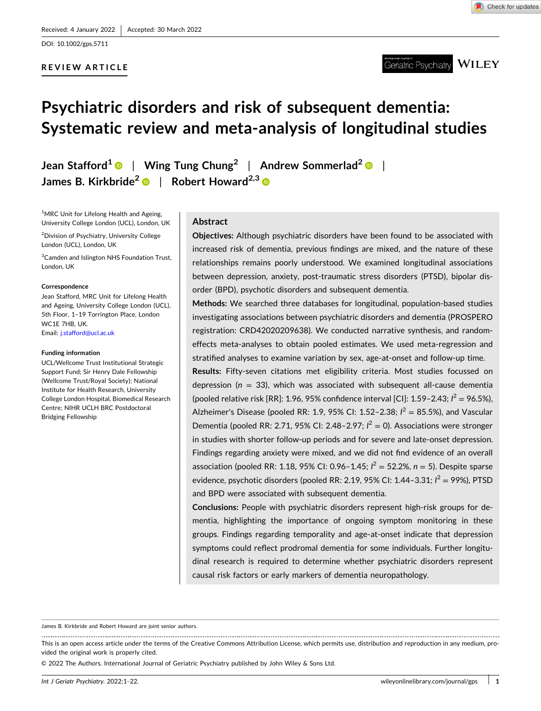DOI: [10.1002/gps.5711](https://doi.org/10.1002/gps.5711)

# **REVIEW ARTICLE**



**WILEY** Geriatric Psvchiatrv

# **Psychiatric disorders and risk of subsequent dementia: Systematic review and meta‐analysis of longitudinal studies**

**Jean Stafford1** | **Wing Tung Chung<sup>2</sup>** | **Andrew Sommerlad2** | **James B. Kirkbride2** | **Robert Howard2,3**

<sup>1</sup>MRC Unit for Lifelong Health and Ageing, University College London (UCL), London, UK

2 Division of Psychiatry, University College London (UCL), London, UK

<sup>3</sup> Camden and Islington NHS Foundation Trust, London, UK

#### **Correspondence**

Jean Stafford, MRC Unit for Lifelong Health and Ageing, University College London (UCL), 5th Floor, 1–19 Torrington Place, London WC1E 7HB, UK. Email: [j.stafford@ucl.ac.uk](mailto:j.stafford@ucl.ac.uk)

#### **Funding information**

UCL/Wellcome Trust Institutional Strategic Support Fund; Sir Henry Dale Fellowship (Wellcome Trust/Royal Society); National Institute for Health Research, University College London Hospital, Biomedical Research Centre; NIHR UCLH BRC Postdoctoral Bridging Fellowship

# **Abstract**

**Objectives:** Although psychiatric disorders have been found to be associated with increased risk of dementia, previous findings are mixed, and the nature of these relationships remains poorly understood. We examined longitudinal associations between depression, anxiety, post‐traumatic stress disorders (PTSD), bipolar disorder (BPD), psychotic disorders and subsequent dementia.

**Methods:** We searched three databases for longitudinal, population‐based studies investigating associations between psychiatric disorders and dementia (PROSPERO registration: CRD42020209638). We conducted narrative synthesis, and random‐ effects meta‐analyses to obtain pooled estimates. We used meta‐regression and stratified analyses to examine variation by sex, age‐at‐onset and follow‐up time.

**Results:** Fifty‐seven citations met eligibility criteria. Most studies focussed on depression ( $n = 33$ ), which was associated with subsequent all-cause dementia (pooled relative risk [RR]: 1.96, 95% confidence interval [CI]: 1.59-2.43;  $I^2 = 96.5\%$ ), Alzheimer's Disease (pooled RR: 1.9, 95% CI: 1.52-2.38;  $l^2 = 85.5$ %), and Vascular Dementia (pooled RR: 2.71, 95% CI: 2.48-2.97;  $I^2 = 0$ ). Associations were stronger in studies with shorter follow‐up periods and for severe and late‐onset depression. Findings regarding anxiety were mixed, and we did not find evidence of an overall association (pooled RR: 1.18, 95% CI: 0.96–1.45; *I* <sup>2</sup> = 52.2%, *n* = 5). Despite sparse evidence, psychotic disorders (pooled RR: 2.19, 95% CI: 1.44–3.31; *I<sup>2</sup> = 99*%), PTSD and BPD were associated with subsequent dementia.

**Conclusions:** People with psychiatric disorders represent high‐risk groups for dementia, highlighting the importance of ongoing symptom monitoring in these groups. Findings regarding temporality and age‐at‐onset indicate that depression symptoms could reflect prodromal dementia for some individuals. Further longitudinal research is required to determine whether psychiatric disorders represent causal risk factors or early markers of dementia neuropathology.

James B. Kirkbride and Robert Howard are joint senior authors.

This is an open access article under the terms of the Creative Commons Attribution License, which permits use, distribution and reproduction in any medium, provided the original work is properly cited.

© 2022 The Authors. International Journal of Geriatric Psychiatry published by John Wiley & Sons Ltd.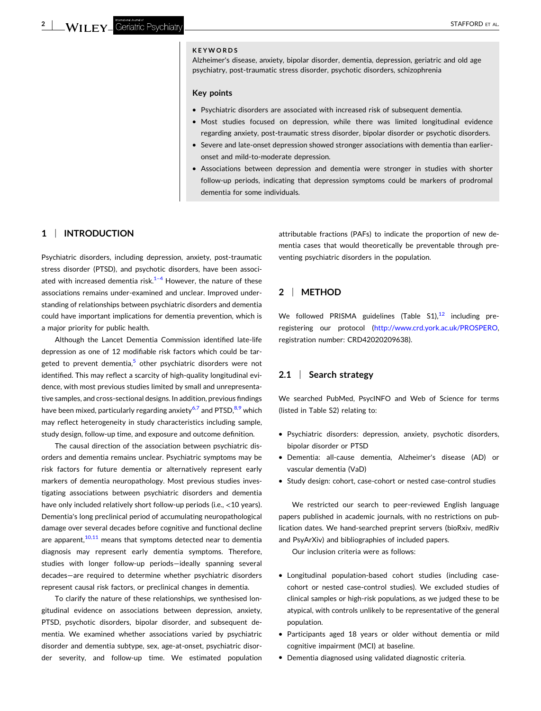# **KEYWORDS**

Alzheimer's disease, anxiety, bipolar disorder, dementia, depression, geriatric and old age psychiatry, post‐traumatic stress disorder, psychotic disorders, schizophrenia

#### **Key points**

- � Psychiatric disorders are associated with increased risk of subsequent dementia.
- � Most studies focused on depression, while there was limited longitudinal evidence regarding anxiety, post-traumatic stress disorder, bipolar disorder or psychotic disorders.
- Severe and late-onset depression showed stronger associations with dementia than earlieronset and mild‐to‐moderate depression.
- � Associations between depression and dementia were stronger in studies with shorter follow‐up periods, indicating that depression symptoms could be markers of prodromal dementia for some individuals.

# **1** <sup>|</sup> **INTRODUCTION**

Psychiatric disorders, including depression, anxiety, post-traumatic stress disorder (PTSD), and psychotic disorders, have been associated with increased dementia risk. $1-4$  However, the nature of these associations remains under‐examined and unclear. Improved understanding of relationships between psychiatric disorders and dementia could have important implications for dementia prevention, which is a major priority for public health.

Although the Lancet Dementia Commission identified late‐life depression as one of 12 modifiable risk factors which could be targeted to prevent dementia, $5$  other psychiatric disorders were not identified. This may reflect a scarcity of high‐quality longitudinal evidence, with most previous studies limited by small and unrepresentative samples, and cross‐sectional designs. In addition, previous findings have been mixed, particularly regarding anxiety<sup>[6,7](#page-19-0)</sup> and PTSD,  $8.9$  which may reflect heterogeneity in study characteristics including sample, study design, follow‐up time, and exposure and outcome definition.

The causal direction of the association between psychiatric disorders and dementia remains unclear. Psychiatric symptoms may be risk factors for future dementia or alternatively represent early markers of dementia neuropathology. Most previous studies investigating associations between psychiatric disorders and dementia have only included relatively short follow-up periods (i.e., <10 years). Dementia's long preclinical period of accumulating neuropathological damage over several decades before cognitive and functional decline are apparent, $10,11$  means that symptoms detected near to dementia diagnosis may represent early dementia symptoms. Therefore, studies with longer follow‐up periods—ideally spanning several decades—are required to determine whether psychiatric disorders represent causal risk factors, or preclinical changes in dementia.

To clarify the nature of these relationships, we synthesised longitudinal evidence on associations between depression, anxiety, PTSD, psychotic disorders, bipolar disorder, and subsequent dementia. We examined whether associations varied by psychiatric disorder and dementia subtype, sex, age‐at‐onset, psychiatric disorder severity, and follow‐up time. We estimated population

attributable fractions (PAFs) to indicate the proportion of new dementia cases that would theoretically be preventable through preventing psychiatric disorders in the population.

# **2** <sup>|</sup> **METHOD**

We followed PRISMA guidelines (Table  $S1$ ),<sup>[12](#page-19-0)</sup> including preregistering our protocol ([http://www.crd.york.ac.uk/PROSPERO,](http://www.crd.york.ac.uk/PROSPERO) registration number: CRD42020209638).

# **2.1** <sup>|</sup> **Search strategy**

We searched PubMed, PsycINFO and Web of Science for terms (listed in Table S2) relating to:

- � Psychiatric disorders: depression, anxiety, psychotic disorders, bipolar disorder or PTSD
- � Dementia: all‐cause dementia, Alzheimer's disease (AD) or vascular dementia (VaD)
- � Study design: cohort, case‐cohort or nested case‐control studies

We restricted our search to peer-reviewed English language papers published in academic journals, with no restrictions on publication dates. We hand‐searched preprint servers (bioRxiv, medRiv and PsyArXiv) and bibliographies of included papers.

Our inclusion criteria were as follows:

- � Longitudinal population‐based cohort studies (including case‐ cohort or nested case‐control studies). We excluded studies of clinical samples or high‐risk populations, as we judged these to be atypical, with controls unlikely to be representative of the general population.
- � Participants aged 18 years or older without dementia or mild cognitive impairment (MCI) at baseline.
- � Dementia diagnosed using validated diagnostic criteria.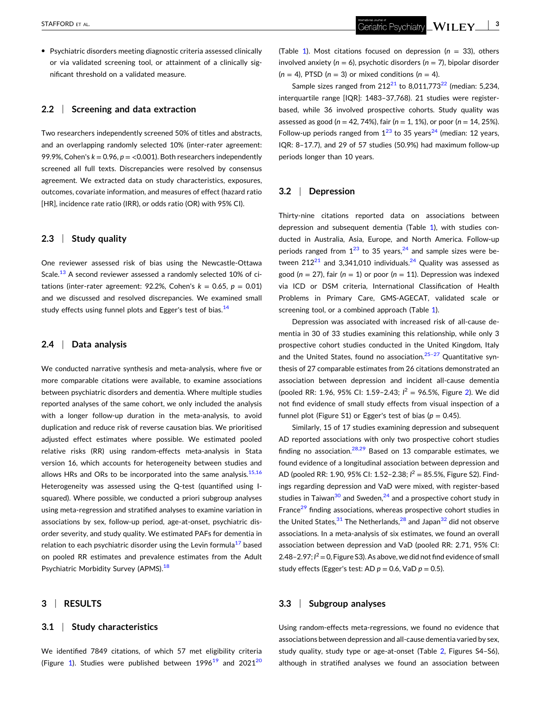� Psychiatric disorders meeting diagnostic criteria assessed clinically or via validated screening tool, or attainment of a clinically significant threshold on a validated measure.

# **2.2** <sup>|</sup> **Screening and data extraction**

Two researchers independently screened 50% of titles and abstracts, and an overlapping randomly selected 10% (inter‐rater agreement: 99.9%, Cohen's  $k = 0.96$ ,  $p = 0.001$ ). Both researchers independently screened all full texts. Discrepancies were resolved by consensus agreement. We extracted data on study characteristics, exposures, outcomes, covariate information, and measures of effect (hazard ratio [HR], incidence rate ratio (IRR), or odds ratio (OR) with 95% CI).

#### **2.3** <sup>|</sup> **Study quality**

One reviewer assessed risk of bias using the Newcastle‐Ottawa Scale.<sup>[13](#page-19-0)</sup> A second reviewer assessed a randomly selected 10% of citations (inter-rater agreement: 92.2%, Cohen's  $k = 0.65$ ,  $p = 0.01$ ) and we discussed and resolved discrepancies. We examined small study effects using funnel plots and Egger's test of bias.<sup>[14](#page-19-0)</sup>

## **2.4** <sup>|</sup> **Data analysis**

We conducted narrative synthesis and meta-analysis, where five or more comparable citations were available, to examine associations between psychiatric disorders and dementia. Where multiple studies reported analyses of the same cohort, we only included the analysis with a longer follow-up duration in the meta-analysis, to avoid duplication and reduce risk of reverse causation bias. We prioritised adjusted effect estimates where possible. We estimated pooled relative risks (RR) using random-effects meta-analysis in Stata version 16, which accounts for heterogeneity between studies and allows HRs and ORs to be incorporated into the same analysis. $15,16$ Heterogeneity was assessed using the Q-test (quantified using Isquared). Where possible, we conducted a priori subgroup analyses using meta‐regression and stratified analyses to examine variation in associations by sex, follow‐up period, age‐at‐onset, psychiatric disorder severity, and study quality. We estimated PAFs for dementia in relation to each psychiatric disorder using the Levin formula<sup>[17](#page-19-0)</sup> based on pooled RR estimates and prevalence estimates from the Adult Psychiatric Morbidity Survey (APMS).<sup>[18](#page-19-0)</sup>

#### **3** <sup>|</sup> **RESULTS**

## **3.1** <sup>|</sup> **Study characteristics**

We identified 7849 citations, of which 57 met eligibility criteria (Figure [1\)](#page-3-0). Studies were published between  $1996<sup>19</sup>$  $1996<sup>19</sup>$  and  $2021<sup>20</sup>$ 

(Table [1](#page-4-0)). Most citations focused on depression (*n* = 33), others involved anxiety (*n* = 6), psychotic disorders (*n* = 7), bipolar disorder  $(n = 4)$ , PTSD  $(n = 3)$  or mixed conditions  $(n = 4)$ .

Sample sizes ranged from  $212^{21}$  $212^{21}$  to 8,011,773<sup>22</sup> (median: 5,234, interquartile range [IQR]: 1483–37,768). 21 studies were register‐ based, while 36 involved prospective cohorts. Study quality was assessed as good (*n* = 42, 74%), fair (*n* = 1, 1%), or poor (*n* = 14, 25%). Follow-up periods ranged from  $1^{23}$  $1^{23}$  $1^{23}$  to 35 years<sup>[24](#page-19-0)</sup> (median: 12 years, IQR: 8–17.7), and 29 of 57 studies (50.9%) had maximum follow‐up periods longer than 10 years.

## **3.2** <sup>|</sup> **Depression**

Thirty-nine citations reported data on associations between depression and subsequent dementia (Table [1\)](#page-4-0), with studies conducted in Australia, Asia, Europe, and North America. Follow‐up periods ranged from  $1^{23}$  $1^{23}$  $1^{23}$  to 35 years,  $2^{4}$  and sample sizes were between  $212^{21}$  $212^{21}$  and 3,341,010 individuals.<sup>24</sup> Quality was assessed as good  $(n = 27)$ , fair  $(n = 1)$  or poor  $(n = 11)$ . Depression was indexed via ICD or DSM criteria, International Classification of Health Problems in Primary Care, GMS‐AGECAT, validated scale or screening tool, or a combined approach (Table [1\)](#page-4-0).

Depression was associated with increased risk of all-cause dementia in 30 of 33 studies examining this relationship, while only 3 prospective cohort studies conducted in the United Kingdom, Italy and the United States, found no association. $25-27$  Quantitative synthesis of 27 comparable estimates from 26 citations demonstrated an association between depression and incident all‐cause dementia (pooled RR: 1.96, 95% CI: 1.59-[2](#page-15-0).43;  $l^2 = 96.5$ %, Figure 2). We did not find evidence of small study effects from visual inspection of a funnel plot (Figure S1) or Egger's test of bias ( $p = 0.45$ ).

Similarly, 15 of 17 studies examining depression and subsequent AD reported associations with only two prospective cohort studies finding no association. $28,29$  Based on 13 comparable estimates, we found evidence of a longitudinal association between depression and AD (pooled RR: 1.90, 95% CI: 1.52-2.38;  $l^2 = 85.5$ %, Figure S2). Findings regarding depression and VaD were mixed, with register‐based studies in Taiwan $30$  and Sweden, $24$  and a prospective cohort study in France<sup>[29](#page-20-0)</sup> finding associations, whereas prospective cohort studies in the United States,  $31$  The Netherlands,  $28$  and Japan $32$  did not observe associations. In a meta‐analysis of six estimates, we found an overall association between depression and VaD (pooled RR: 2.71, 95% CI: 2.48 - 2.97;  $I^2 = 0$ , Figure S3). As above, we did not find evidence of small study effects (Egger's test: AD  $p = 0.6$ , VaD  $p = 0.5$ ).

#### **3.3** <sup>|</sup> **Subgroup analyses**

Using random‐effects meta‐regressions, we found no evidence that associations between depression and all‐cause dementia varied by sex, study quality, study type or age-at-onset (Table [2](#page-16-0), Figures S4-S6), although in stratified analyses we found an association between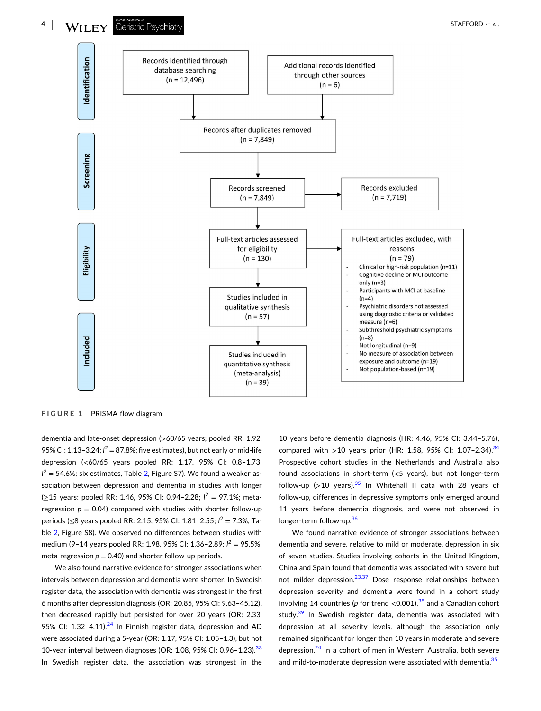<span id="page-3-0"></span>

**FIGURE 1** PRISMA flow diagram

dementia and late‐onset depression (>60/65 years; pooled RR: 1.92, 95% CI: 1.13-3.24;  $I^2 = 87.8$ %; five estimates), but not early or mid-life depression (<60/65 years pooled RR: 1.17, 95% CI: 0.8–1.73;  $I^2 = 54.6\%$ ; six estimates, Table [2,](#page-16-0) Figure S7). We found a weaker association between depression and dementia in studies with longer (≥15 years: pooled RR: 1.46, 95% CI: 0.94-2.28;  $l^2 = 97.1\%$ ; metaregression  $p = 0.04$ ) compared with studies with shorter follow-up periods (≤8 years pooled RR: 2.15, 95% CI: 1.81-2.55; *I*<sup>2</sup> = 7.3%, Table [2,](#page-16-0) Figure S8). We observed no differences between studies with medium (9–14 years pooled RR: 1.98, 95% CI: 1.36–2.89; *I*<sup>2</sup> = 95.5%; meta-regression  $p = 0.40$ ) and shorter follow-up periods.

We also found narrative evidence for stronger associations when intervals between depression and dementia were shorter. In Swedish register data, the association with dementia was strongest in the first 6 months after depression diagnosis (OR: 20.85, 95% CI: 9.63–45.12), then decreased rapidly but persisted for over 20 years (OR: 2.33, 95% CI: 1.32-4.11).<sup>[24](#page-19-0)</sup> In Finnish register data, depression and AD were associated during a 5‐year (OR: 1.17, 95% CI: 1.05–1.3), but not 10-year interval between diagnoses (OR: 1.08, 95% CI: 0.96-1.23).<sup>[33](#page-20-0)</sup> In Swedish register data, the association was strongest in the

10 years before dementia diagnosis (HR: 4.46, 95% CI: 3.44–5.76), compared with  $>10$  years prior (HR: 1.58, 95% CI: 1.07-2.[34](#page-20-0)).<sup>34</sup> Prospective cohort studies in the Netherlands and Australia also found associations in short‐term (<5 years), but not longer‐term follow-up (>10 years).<sup>35</sup> In Whitehall II data with 28 years of follow‐up, differences in depressive symptoms only emerged around 11 years before dementia diagnosis, and were not observed in longer-term follow-up.<sup>[36](#page-20-0)</sup>

We found narrative evidence of stronger associations between dementia and severe, relative to mild or moderate, depression in six of seven studies. Studies involving cohorts in the United Kingdom, China and Spain found that dementia was associated with severe but not milder depression. $23,37$  Dose response relationships between depression severity and dementia were found in a cohort study involving 14 countries ( $p$  for trend <0.001), <sup>38</sup> and a Canadian cohort study.<sup>[39](#page-20-0)</sup> In Swedish register data, dementia was associated with depression at all severity levels, although the association only remained significant for longer than 10 years in moderate and severe depression.<sup>[24](#page-19-0)</sup> In a cohort of men in Western Australia, both severe and mild-to-moderate depression were associated with dementia.<sup>[35](#page-20-0)</sup>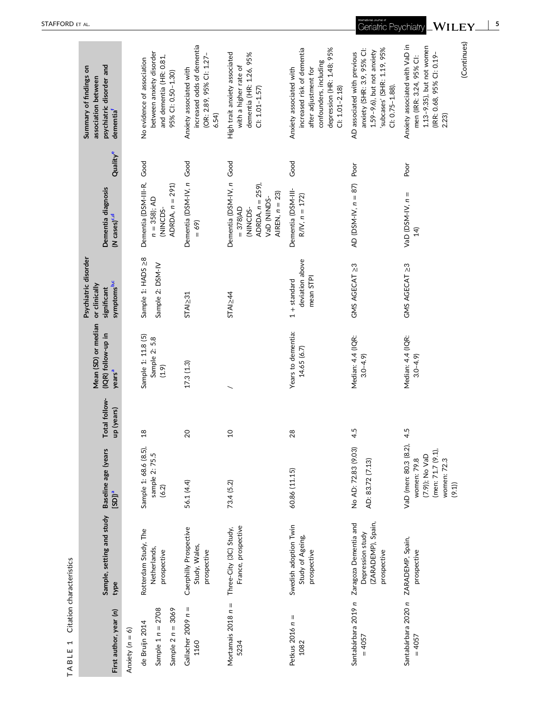<span id="page-4-0"></span>

| First author, year (n)                | Sample, setting and study Baseline age (years<br>type                          | $[SD]$ <sup>a</sup>                                                                                 | Total follow-<br>up (years) | Mean (SD) or median<br>(IQR) follow-up in<br>years <sup>a</sup> | Psychiatric disorder<br>symptoms <sup>b,c</sup><br>or clinically<br>significant | Dementia diagnosis<br>(N cases) <sup>c,d</sup>                                                            | Quality <sup>e</sup> | psychiatric disorder and<br>Summary of findings on<br>association between<br>dementia <sup>f</sup>                                                        |
|---------------------------------------|--------------------------------------------------------------------------------|-----------------------------------------------------------------------------------------------------|-----------------------------|-----------------------------------------------------------------|---------------------------------------------------------------------------------|-----------------------------------------------------------------------------------------------------------|----------------------|-----------------------------------------------------------------------------------------------------------------------------------------------------------|
| Anxiety ( $n = 6$ )                   |                                                                                |                                                                                                     |                             |                                                                 |                                                                                 |                                                                                                           |                      |                                                                                                                                                           |
| Sample $1 n = 2708$<br>de Bruijn 2014 | Rotterdam Study, The<br>Netherlands,<br>prospective                            | Sample 1: 68.6 (8.5),<br>sample 2: 75.5<br>(6.2)                                                    | 18                          | Sample 1: 11.8 (5)<br>Sample 2: 5.8<br>(1.9)                    | Sample 1: HADS >8<br>Sample 2: DSM-IV                                           | Dementia (DSM-III-R, Good<br>$n = 358$ ); AD<br>(NINCDS-                                                  |                      | between anxiety disorder<br>and dementia (HR: 0.81,<br>No evidence of association                                                                         |
| Sample $2 n = 3069$                   |                                                                                |                                                                                                     |                             |                                                                 |                                                                                 | ADRDA, $n = 291$                                                                                          |                      | 95% CI: 0.50-1.30)                                                                                                                                        |
| Gallacher 2009 n =<br>1160            | Caerphilly Prospective<br>Study, Wales,<br>prospective                         | 56.1 (4.4)                                                                                          | 20                          | 17.3(1.3)                                                       | STAI <sub>2</sub> 31                                                            | Dementia (DSM-IV, n Good<br>$= 69$                                                                        |                      | increased odds of dementia<br>(OR: 2.89, 95% CI: 1.27<br>Anxiety associated with<br>6.54)                                                                 |
| Mortamais $2018 n =$<br>5234          | France, prospective<br>Three-City (3C) Study,                                  | 73.4 (5.2)                                                                                          | $\overline{c}$              |                                                                 | STAI <sub>2</sub> 44                                                            | Dementia (DSM-IV, n<br>ADRDA, $n = 259$ ),<br>AIREN, $n = 23$ )<br>VaD (NINDS-<br>$= 378$ )AD<br>(NINCDS- | Good                 | High trait anxiety associated<br>dementia (HR: 1.26, 95%<br>with a higher rate of<br>$C: 1.01 - 1.57$                                                     |
| Petkus $2016 n =$<br>1082             | Swedish adoption Twin<br>Study of Ageing,<br>prospective                       | 60.86 (11.15)                                                                                       | 28                          | Years to dementia:<br>14.65 (6.7)                               | deviation above<br>mean STPI<br>$1 +$ standard                                  | Dementia (DSM-III-<br>$R/IV, n = 172$                                                                     | Good                 | depression (HR: 1.48; 95%<br>increased risk of dementia<br>confounders, including<br>Anxiety associated with<br>after adjustment for<br>$C1: 1.01 - 2.18$ |
| Santabárbara 2019 n<br>$= 4057$       | (ZARADEMP), Spain,<br>Zaragoza Dementia and<br>Depression study<br>prospective | No AD: 72.83 (9.03<br>AD: 83.72 (7.13)                                                              | 4.5                         | Median: 4.4 (IQR:<br>$3.0 - 4.9$                                | GMS AGECAT 23                                                                   | AD (DSM-IV, $n = 87$ )                                                                                    | Poor                 | anxiety (SHR: 3.9, 95% Cl:<br>subcases' (SHR: 1.19, 95%<br>1.59-9.6), but not anxiety<br>AD associated with previous<br>$C1: 0.75 - 1.88$                 |
| Santabárbara 2020 n<br>$= 4057$       | ZARADEMP, Spain,<br>prospective                                                | VaD (men: 80.3 (8.2),<br>(men: 71.7 (9.1),<br>(7.9)); No VaD<br>women: 79.8<br>women: 72.3<br>(9.1) | 4.5                         | Median: 4.4 (IQR:<br>$3.0 - 4.9$                                | GMS AGECAT 23                                                                   | VaD (DSM-IV, $n =$<br>$\overline{4}$                                                                      | Poor                 | (Continues)<br>Anxiety associated with VaD in<br>1.13-9.35), but not women<br>(IRR: 0.68, 95% CI: 0.19-<br>men (IRR: 3.24, 95% Cl:<br>2.23)               |

TABLE 1 Citation characteristics **TABLE 1** Citation characteristics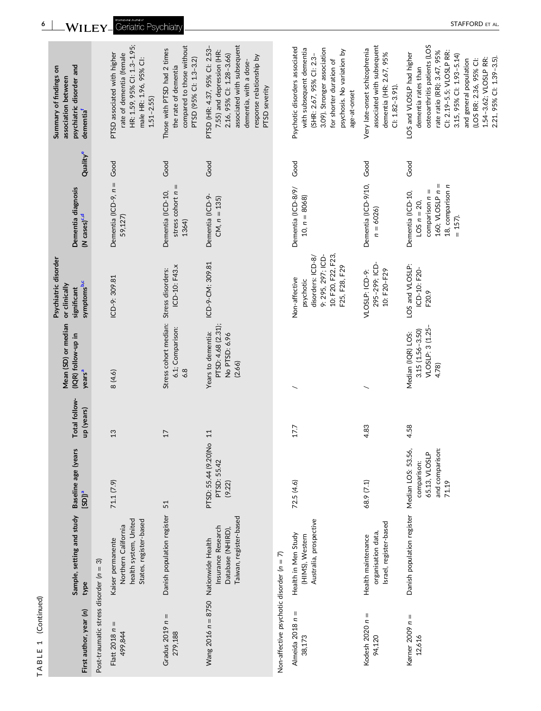| First author, year (n)                     | Sample, setting and study<br>type                                                           | Baseline age (years<br>$[SD]$ <sup>a</sup>                     | Total follow-<br>up (years) | Mean (SD) or median<br>(IQR) follow-up in<br>years <sup>a</sup>       | Psychiatric disorder<br>symptoms <sup>b,c</sup><br>or clinically<br>significant                             | Dementia diagnosis<br>(N cases) <sup>c.d</sup>                                                               | Quality <sup>e</sup> | psychiatric disorder and<br>Summary of findings on<br>association between<br>dementia <sup>f</sup>                                                                                                                                                                              |
|--------------------------------------------|---------------------------------------------------------------------------------------------|----------------------------------------------------------------|-----------------------------|-----------------------------------------------------------------------|-------------------------------------------------------------------------------------------------------------|--------------------------------------------------------------------------------------------------------------|----------------------|---------------------------------------------------------------------------------------------------------------------------------------------------------------------------------------------------------------------------------------------------------------------------------|
| Post-traumatic stress disorder ( $n = 3$ ) |                                                                                             |                                                                |                             |                                                                       |                                                                                                             |                                                                                                              |                      |                                                                                                                                                                                                                                                                                 |
| Ш<br>Flatt 2018 n<br>499,844               | health system, United<br>States, register-based<br>Northern California<br>Kaiser permanente | 71.1 (7.9)                                                     | 13                          | 8 (4.6)                                                               | ICD-9: 309.81                                                                                               | Dementia (ICD-9, n =<br>59,127)                                                                              | Good                 | HR: 1.59, 95% Cl: 1.3-1.95;<br>rate of dementia (female<br>PTSD associated with higher<br>male HR: 1.96, 95% Cl:<br>$1.51 - 2.55$                                                                                                                                               |
| Gradus $2019 n =$<br>279,188               | Danish population register                                                                  | 51                                                             | $\overline{17}$             | Stress cohort median:<br>6.1; Comparison:<br>6.8                      | ICD-10: F43.x<br>Stress disorders:                                                                          | stress cohort $n =$<br>Dementia (ICD-10,<br>1364)                                                            | Good                 | compared to those without<br>Those with PTSD had 2 times<br>PTSD (95% CI: 1.3-3.2)<br>the rate of dementia                                                                                                                                                                      |
| Wang 2016 n = 8750 Nationwide Health       | Taiwan, register-based<br>Insurance Research<br>Database (NHIRD)                            | $\overline{Q}$<br>PTSD: 55.44 (9.20)N<br>PTSD: 55.42<br>(9.22) | 11                          | PTSD: 4.68 (2.31);<br>Years to dementia:<br>No PTSD: 6.96<br>(2.66)   | ICD-9-CM: 309.81                                                                                            | Dementia (ICD-9-<br>$CM, n = 135$                                                                            | Good                 | associated with subsequent<br>PTSD (HR: 4.37, 95% CI: 2.53-<br>7.55) and depression (HR:<br>2.16, 95% Cl: 1.28-3.66)<br>response relationship by<br>dementia, with a dose-<br>PTSD severity                                                                                     |
| Non-affective psychotic disorder (n = 7)   |                                                                                             |                                                                |                             |                                                                       |                                                                                                             |                                                                                                              |                      |                                                                                                                                                                                                                                                                                 |
| Almeida 2018 $n =$<br>38,173               | Australia, prospective<br>Health in Men Study<br>(HIMS), Western                            | 72.5(4.6)                                                      | 17.7                        |                                                                       | 10: F20, F22, F23,<br>9: 295, 297; ICD-<br>disorders: ICD-8/<br>F25, F28, F29<br>Non-affective<br>psychotic | Dementia (ICD-8/9/<br>$10, n = 8068$                                                                         | Good                 | Psychotic disorders associated<br>3.09). Stronger association<br>with subsequent dementia<br>psychosis. No variation by<br>(SHR: 2.67, 95% CI: 2.3-<br>for shorter duration of<br>age-at-onset                                                                                  |
| Kodesh 2020 $n =$<br>94,120                | Israel, register-based<br>organisation data,<br>Health maintenance                          | 68.9 (7.1)                                                     | 4.83                        |                                                                       | 295-299; ICD-<br>10: F20-F29<br>VLOSLP: ICD-9:                                                              | Dementia (ICD-9/10,<br>$n = 6026$                                                                            | Good                 | associated with subsequent<br>Very late-onset schizophrenia<br>dementia (HR: 2.67, 95%<br>$C: 1.82 - 3.91$                                                                                                                                                                      |
| Kørner 2009 $n =$<br>12,616                | Danish population register Median LOS: 53.56,                                               | and comparison:<br>65.13, VLOSLP<br>comparison:<br>71.19       | 4.58                        | VLOSLP: 3 (1.25-<br>$3.15(1.56 - 3.50)$<br>Median (IQR) LOS:<br>4.78) | LOS and VLOSLP:<br>ICD-10: F20-<br>F20.9                                                                    | Ш<br>18, comparison n<br>160; VLOSLP n<br>$comparison n =$<br>Dementia (ICD-10,<br>$LOS n = 20,$<br>$= 157.$ | Good                 | osteoarthritis patients (LOS<br>rate ratio (RR): 3.47, 95%<br>CI: 2.19-5.5; VLOSLP RR:<br>LOS and VLOSLP had higher<br>3.15, 95% Cl: 1.93-5.14)<br>1.54-3.62; VLOSLP RR:<br>2.21. 95% CI: 1.39-3.5).<br>and general population<br>(LOS RR: 2.36, 95% CI:<br>dementia rates than |

**TABLE 1** (Continued)

TABLE 1 (Continued)

**6** - STAFFORD ET AL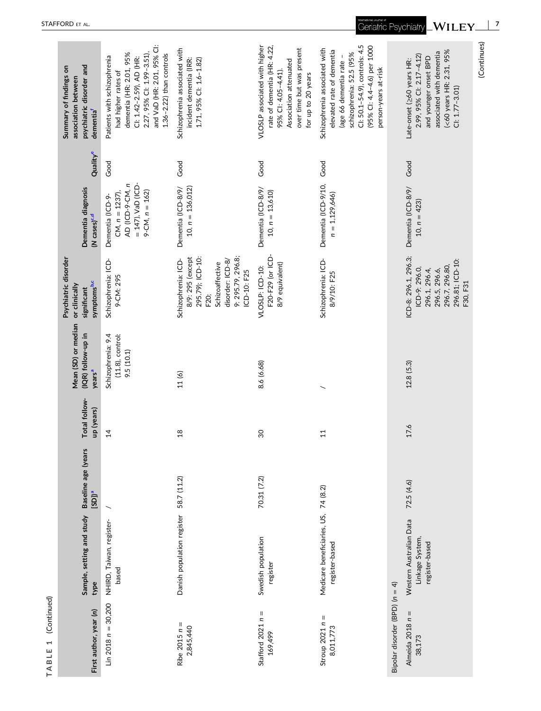| psychiatric disorder and<br>Summary of findings on<br>association between       | and VaD (HR: 2.01, 95% CI:<br>dementia (HR: 2.01, 95%<br>2.27, 95% CI: 1.99-3.51),<br>$1.36 - 2.22$ ) than controls<br>Patients with schizophrenia<br>CI: 1.42-2.59), AD (HR:<br>had higher rates of | Schizophrenia associated with<br>incident dementia (IRR:<br>1.71, 95% Cl: 1.6-1.82)                                                            | VLOSLP associated with higher<br>rate of dementia (HR: 4.22,<br>over time but was present<br>Association attenuated<br>95% CI: 4.05-4.41).<br>for up to 20 years | (95% Cl: 4.4-4.6) per 1000<br>Cl: 50.1-54.9), controls: 4.5<br>Schizophrenia associated with<br>elevated rate of dementia<br>schizophrenia: 52.5 (95%<br>(age 66 dementia rate -<br>person-years at-risk |                                | (<60 years HR: 2.31, 95%<br>associated with dementia<br>2.99, 95% CI: 2.17-4.12)<br>and younger onset BPD<br>Late-onset (260 years HR:<br>$Cl: 1.77 - 3.01$ | (Continues) |
|---------------------------------------------------------------------------------|------------------------------------------------------------------------------------------------------------------------------------------------------------------------------------------------------|------------------------------------------------------------------------------------------------------------------------------------------------|------------------------------------------------------------------------------------------------------------------------------------------------------------------|----------------------------------------------------------------------------------------------------------------------------------------------------------------------------------------------------------|--------------------------------|-------------------------------------------------------------------------------------------------------------------------------------------------------------|-------------|
| dementia <sup>f</sup>                                                           |                                                                                                                                                                                                      |                                                                                                                                                |                                                                                                                                                                  |                                                                                                                                                                                                          |                                |                                                                                                                                                             |             |
| Qualitye                                                                        | Good                                                                                                                                                                                                 | Good                                                                                                                                           | Good                                                                                                                                                             | Good                                                                                                                                                                                                     |                                | Good                                                                                                                                                        |             |
| Dementia diagnosis<br>(N cases) <sup>c,d</sup>                                  | $= 147$ ), VaD (ICD-<br>AD (ICD-9-CM, n<br>$9-CM, n = 162$<br>CM, $n = 1237$ ),<br>Dementia (ICD-9-                                                                                                  | $10, n = 136,012$<br>Dementia (ICD-8/9/                                                                                                        | Dementia (ICD-8/9/<br>$10, n = 13,610$                                                                                                                           | Dementia (ICD-9/10,<br>$n = 1,129,646$                                                                                                                                                                   |                                | Dementia (ICD-8/9/<br>10, $n = 423$                                                                                                                         |             |
| Psychiatric disorder<br>symptoms <sup>b,c</sup><br>or clinically<br>significant | Schizophrenia: ICD-<br>9-CM: 295                                                                                                                                                                     | 9: 295.79, 296.8;<br>8/9: 295 (except<br>295.79); ICD-10:<br>Schizophrenia: ICD-<br>disorder: ICD-8/<br>Schizoaffective<br>ICD-10: F25<br>F20; | F20-F29 (or ICD-<br>8/9 equivalent)<br>VLOSLP: ICD-10:                                                                                                           | Schizophrenia: ICD-<br>8/9/10: F25                                                                                                                                                                       |                                | ICD-8: 296.1, 296.3;<br>296.81; ICD-10:<br>296.7, 296.80,<br>ICD-9: 296.0,<br>296.1, 296.4,<br>296.5, 296.6,<br>F30, F31                                    |             |
| Mean (SD) or median<br>(IQR) follow-up in<br>years <sup>a</sup>                 | $(11.8)$ , control:<br>Schizophrenia: 9.4<br>9.5(10.1)                                                                                                                                               | 11(6)                                                                                                                                          | 8.6 (6.68)                                                                                                                                                       |                                                                                                                                                                                                          |                                | 12.8(5.3)                                                                                                                                                   |             |
| Total follow-<br>up (years)                                                     | $\overline{4}$                                                                                                                                                                                       | $\frac{8}{10}$                                                                                                                                 | $\overline{30}$                                                                                                                                                  | $\Xi$                                                                                                                                                                                                    |                                | 17.6                                                                                                                                                        |             |
| Baseline age (years<br>$[SD]$ <sup>a</sup>                                      |                                                                                                                                                                                                      | 58.7 (11.2)                                                                                                                                    | 70.31 (7.2)                                                                                                                                                      |                                                                                                                                                                                                          |                                | 72.5(4.6)                                                                                                                                                   |             |
| Sample, setting and study<br>type                                               | NHIRD, Taiwan, register-<br>based                                                                                                                                                                    | Danish population register                                                                                                                     | Swedish population<br>register                                                                                                                                   | Medicare beneficiaries, US, 74 (8.2)<br>register-based                                                                                                                                                   |                                | Western Australian Data<br>Linkage System,<br>register-based                                                                                                |             |
| First author, year (n)                                                          | Lin 2018 $n = 30,200$                                                                                                                                                                                | Ribe 2015 $n =$<br>2,845,440                                                                                                                   | Stafford $2021 n =$<br>169,499                                                                                                                                   | Stroup $2021 n =$<br>8,011,773                                                                                                                                                                           | Bipolar disorder (BPD) (n = 4) | Almeida 2018 $n =$<br>38,173                                                                                                                                |             |

**TABLE 1** (Continued)

TABLE 1 (Continued)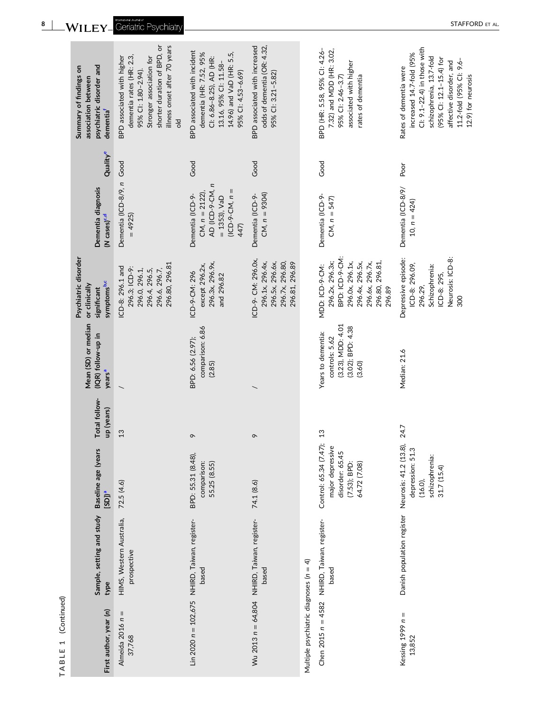| First author, year (n)                 | Sample, setting and study<br>type                                          | Baseline age (years<br>$[SD]$ <sup>a</sup>                                                       | Total follow-<br>up (years) | Mean (SD) or median<br>(IQR) follow-up in<br>years <sup>a</sup>                          | Psychiatric disorder<br>symptoms <sup>b,c</sup><br>or clinically<br>significant                                                           | Dementia diagnosis<br>(N cases) <sup>c,d</sup>                                                       | Quality <sup>e</sup> | psychiatric disorder and<br>Summary of findings on<br>association between<br>dementia <sup>f</sup>                                                                                                                   |
|----------------------------------------|----------------------------------------------------------------------------|--------------------------------------------------------------------------------------------------|-----------------------------|------------------------------------------------------------------------------------------|-------------------------------------------------------------------------------------------------------------------------------------------|------------------------------------------------------------------------------------------------------|----------------------|----------------------------------------------------------------------------------------------------------------------------------------------------------------------------------------------------------------------|
| Almeida 2016 $n =$<br>37,768           | HIMS, Western Australia,<br>prospective                                    | 72.5 (4.6)                                                                                       | 13                          |                                                                                          | 296.80, 296.81<br>ICD-8: 296.1 and<br>296.3; ICD-9:<br>296.0, 296.1,<br>296.6, 296.7,<br>296.4, 296.5,                                    | Dementia (ICD-8/9, n<br>$= 4925$                                                                     | Good                 | shorter duration of BPD, or<br>illness onset after 70 years<br>dementia rates (HR: 2.3,<br>BPD associated with higher<br>Stronger association for<br>95% CI: 1.80-2.94).<br>$\frac{1}{5}$                            |
|                                        | Lin 2020 n = 102,675 NHIRD, Taiwan, register-<br>based                     | BPD: 55.31 (8.48),<br>comparison:<br>55.25 (8.55)                                                | $\sigma$                    | comparison: 6.86<br>BPD: 6.56 (2.97);<br>(2.85)                                          | 296.3x, 296.9x,<br>except 296.2x,<br>ICD-9-CM: 296<br>and 296.82                                                                          | AD (ICD-9-CM, n<br>$(ICD-9-CM, n =$<br>$CM, n = 2122$<br>Dementia (ICD-9-<br>$= 1353$ ), VaD<br>447) | Good                 | BPD associated with incident<br>14.96) and VaD (HR: 5.5,<br>dementia (HR: 7.52, 95%<br>Cl: 6.86-8.25), AD (HR:<br>13.16, 95% Cl: 11.58-<br>95% Cl: 4.53-6.69)                                                        |
|                                        | Wu 2013 n = 64,804 NHIRD, Taiwan, register-<br>based                       | 74.1 (8.6)                                                                                       | $\sigma$                    |                                                                                          | ICD-9- CM: 296.0x,<br>296.5x, 296.6x,<br>296.1x, 296.4x,<br>296.7x, 296.80,<br>296.81, 296.89                                             | $CM, n = 9304$<br>Dementia (ICD-9-                                                                   | Good                 | BPD associated with increased<br>odds of dementia (OR: 4.32,<br>95% CI: 3.21-5.82)                                                                                                                                   |
| Multiple psychiatric diagnoses (n = 4) |                                                                            |                                                                                                  |                             |                                                                                          |                                                                                                                                           |                                                                                                      |                      |                                                                                                                                                                                                                      |
| Chen 2015 $n = 4582$                   | NHIRD, Taiwan, register-<br>based                                          | Control: 65.34 (7.47); 13<br>major depressive<br>disorder: 65.45<br>(7.53); BPD:<br>64.72 (7.08) |                             | (3.23), MDD: 4.01<br>(3.02); BPD: 4.38<br>Years to dementia:<br>controls: 5.62<br>(3.60) | BPD: ICD-9-CM:<br>296.2x, 296.3x;<br>296.0x, 296.1x,<br>296.4x, 296.5x,<br>296.80, 296.81,<br>296.6x, 296.7x,<br>MDD: ICD-9-CM:<br>296.89 | Dementia (ICD-9-<br>$CM, n = 547$                                                                    | Good                 | BPD (HR: 5.58, 95% CI: 4.26-<br>7.32) and MDD (HR: 3.02,<br>associated with higher<br>95% CI: 2.46-3.7)<br>rates of dementia                                                                                         |
| Kessing $1999 n =$<br>13,852           | Danish population register Neurosis: 41.2 (13.8), 24.7<br>depression: 51.3 | depression: 51.<br>schizophrenia:<br>31.7(15.4)<br>$(16.0)$ ,                                    |                             | Median: 21.6                                                                             | Neurosis: ICD-8:<br>Depressive episode:<br>ICD-8: 296.09,<br>Schizophrenia:<br>ICD-8: 295,<br>296.29,<br>300                              | Dementia (ICD-8/9/<br>10, $n = 424$                                                                  | Poor                 | Cl: 9.1-22.4) in those with<br>increased 14.7-fold (95%<br>schizophrenia, 13.7-fold<br>(95% CI: 12.1-15.4) for<br>11.2-fold (95% CI: 9.6-<br>affective disorder, and<br>Rates of dementia were<br>12.9) for neurosis |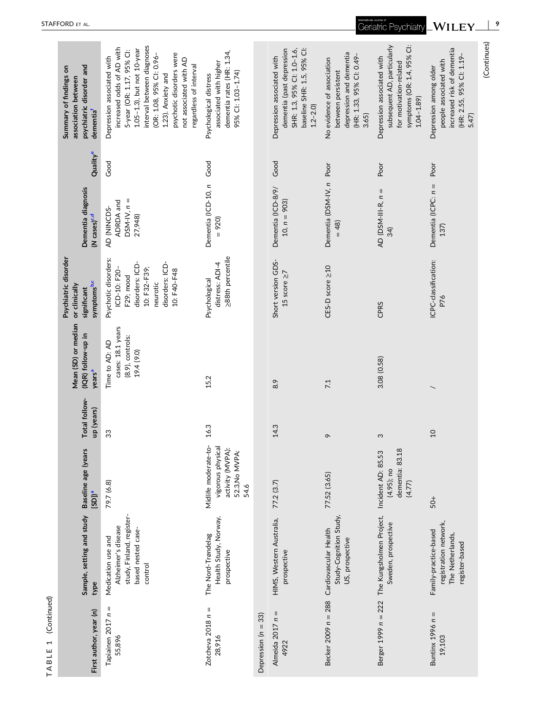| First author, year (n)        | Sample, setting and study<br>type                                                                       | Baseline age (years<br>$[SD]$ <sup>a</sup>                                              | Total follow-<br>up (years) | Mean (SD) or median<br>(IQR) follow-up in<br>years <sup>a</sup>          | Psychiatric disorder<br>symptoms <sup>b,c</sup><br>or clinically<br>significant                                                    | Dementia diagnosis<br>(N cases) <sup>c,d</sup>      | Quality <sup>e</sup> | psychiatric disorder and<br>Summary of findings on<br>association between<br>dementia <sup>f</sup>                                                                                                                                                                                 |
|-------------------------------|---------------------------------------------------------------------------------------------------------|-----------------------------------------------------------------------------------------|-----------------------------|--------------------------------------------------------------------------|------------------------------------------------------------------------------------------------------------------------------------|-----------------------------------------------------|----------------------|------------------------------------------------------------------------------------------------------------------------------------------------------------------------------------------------------------------------------------------------------------------------------------|
| Tapiainen 2017 n =<br>55,896  | study, Finland, register-<br>Alzheimer's disease<br>based nested case-<br>Medication use and<br>control | 79.7 (6.8)                                                                              | 33                          | cases: 18.1 years<br>$(8.9)$ , controls:<br>Time to AD: AD<br>19.4 (9.0) | Psychotic disorders:<br>disorders: ICD-<br>disorders: ICD-<br>10: F32-F39;<br>ICD-10: F20-<br>10: F40-F48<br>F29; mood<br>neurotic | $DSM-N, n =$<br>ADRDA and<br>AD (NINCDS-<br>27,948) | Good                 | interval between diagnoses<br>increased odds of AD with<br>1.05-1.3), but not 10-year<br>5-year (OR: 1.17, 95% Cl:<br>psychotic disorders were<br>(OR: 1.08, 95% CI: 0.96-<br>Depression associated with<br>not associated with AD<br>regardless of interval<br>1.23). Anxiety and |
| Zotcheva 2018 $n =$<br>28,916 | Health Study, Norway,<br>The Nord-Trøndelag<br>prospective                                              | Midlife moderate-to-<br>vigorous physical<br>activity (MVPA):<br>52.3, No MVPA:<br>54.6 | 16.3                        | 15.2                                                                     | >88th percentile<br>distress: ADI-4<br>Psychological                                                                               | Dementia (ICD-10, n<br>920)                         | Good                 | dementia rates (HR: 1.34,<br>associated with higher<br>95% CI: 1.03-1.74)<br>Psychological distress                                                                                                                                                                                |
| Depression ( $n = 33$ )       |                                                                                                         |                                                                                         |                             |                                                                          |                                                                                                                                    |                                                     |                      |                                                                                                                                                                                                                                                                                    |
| Almeida 2017 $n =$<br>4922    | HIMS, Western Australia,<br>prospective                                                                 | 77.2 (3.7)                                                                              | 14.3                        | 8.9                                                                      | Short version GDS-<br>15 score $\geq$ 7                                                                                            | Dementia (ICD-8/9/<br>10, $n = 903$                 | Good                 | baseline SHR: 1.5, 95% Cl:<br>dementia (past depression<br>SHR: 1.3, 95% Cl: 1.0-1.6,<br>Depression associated with<br>$1.2 - 2.0$                                                                                                                                                 |
| Becker 2009 n = 288           | Study-Cognition Study,<br>Cardiovascular Health<br>US, prospective                                      | 77.52 (3.65)                                                                            | $\sigma$                    | 7.1                                                                      | CES-D score ≥10                                                                                                                    | Dementia (DSM-IV, n<br>$= 48$                       | Poor                 | depression and dementia<br>(HR: 1.33, 95% CI: 0.49-<br>No evidence of association<br>between persistent<br>3.65                                                                                                                                                                    |
|                               | Berger 1999 n = 222 The Kungsholmen Project,<br>Sweden, prospective                                     | dementia: 83.18<br>Incident AD: 85.53<br>$(4.95)$ ; no<br>(4.77)                        | S                           | 3.08 (0.58)                                                              | CPRS                                                                                                                               | AD (DSM-III-R, $n =$<br>34)                         | Poor                 | symptoms (OR: 1.4, 95% CI:<br>subsequent AD, particularly<br>Depression associated with<br>for motivation-related<br>$1.04 - 1.89$                                                                                                                                                 |
| Buntinx $1996 n =$<br>19,103  | registration network,<br>Family-practice-based<br>The Netherlands,<br>register-based                    | $50+$                                                                                   | $\overline{0}$              |                                                                          | ICPC-classification:<br>P76                                                                                                        | Dementia (ICPC: $n =$<br>137)                       | Poor                 | increased risk of dementia<br>(HR: 2.55, 95% CI: 1.19-<br>people associated with<br>Depression among older<br>5.47)                                                                                                                                                                |
|                               |                                                                                                         |                                                                                         |                             |                                                                          |                                                                                                                                    |                                                     |                      | (Continues)                                                                                                                                                                                                                                                                        |

**TABLE 1** (Continued)

TABLE 1 (Continued)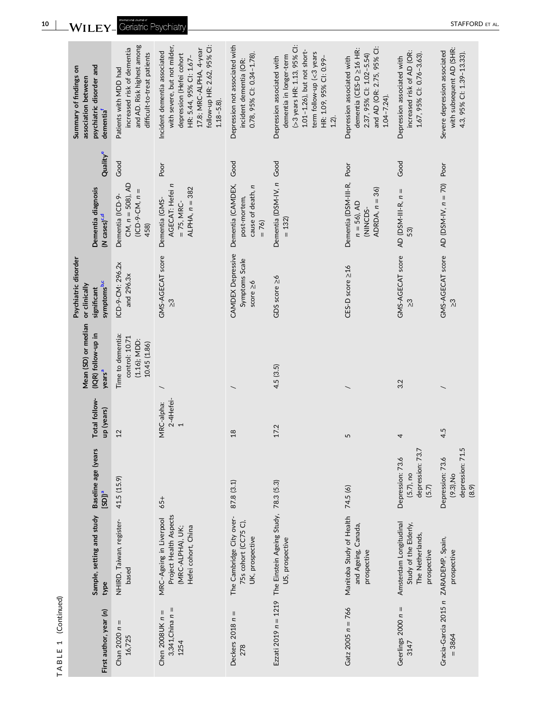| psychiatric disorder and<br>Summary of findings on<br>association between<br>dementia <sup>f</sup> | and AD. Risk highest among<br>increased risk of dementia<br>difficult-to-treat patients<br>Patients with MDD had | follow-up HR: 2.62, 95% Cl:<br>with severe, but not milder,<br>17.8; MRC-ALPHA, 4-year<br>Incident dementia associated<br>depression (Hefei cohort<br>HR: 5.44, 95% Cl: 1.67-<br>$1.18 - 5.8$ ). | Depression not associated with<br>0.78, 95% Cl: 0.34-1.78).<br>incident dementia (OR: | >3 years HR: 1.13, 95% Cl:<br>1.01-1.26), but not short-<br>term follow-up (<3 years<br>dementia in longer-term<br>HR: 1.09, 95% CI: 0.99-<br>Depression associated with<br>$1.2$ ). | and AD (OR: 2.75, 95% Cl:<br>dementia (CES-D ≥16 HR:<br>2.37, 95% Cl: 1.02-5.54)<br>Depression associated with<br>$1.04 - 7.24$ . | increased risk of AD (OR:<br>1.67, 95% Cl: 0.76-3.63).<br>Depression associated with | with subsequent AD (SHR:<br>Severe depression associated<br>4.3, 95% Cl: 1.39-13.33). |
|----------------------------------------------------------------------------------------------------|------------------------------------------------------------------------------------------------------------------|--------------------------------------------------------------------------------------------------------------------------------------------------------------------------------------------------|---------------------------------------------------------------------------------------|--------------------------------------------------------------------------------------------------------------------------------------------------------------------------------------|-----------------------------------------------------------------------------------------------------------------------------------|--------------------------------------------------------------------------------------|---------------------------------------------------------------------------------------|
| Quality <sup>e</sup>                                                                               | Good                                                                                                             | Poor                                                                                                                                                                                             | Good                                                                                  |                                                                                                                                                                                      | Poor                                                                                                                              | Good                                                                                 | Poor                                                                                  |
| Dementia diagnosis<br>(N cases) <sup>c,d</sup>                                                     | $CM, n = 508, AD$<br>$(ICD-9-CM, n =$<br>Dementia (ICD-9-<br>458)                                                | AGECAT: Hefei n<br>ALPHA, $n = 382$<br>Dementia (GMS-<br>$= 75, MRC-$                                                                                                                            | Dementia (CAMDEX,<br>cause of death, n<br>post-mortem,<br>$= 76$                      | Dementia (DSM-IV, n Good<br>$= 132$                                                                                                                                                  | Dementia (DSM-III-R,<br>ADRDA, $n = 36$ )<br>$n = 56$ ), AD<br>(NINCDS-                                                           | AD (DSM-III-R, $n =$<br>53)                                                          | AD (DSM-IV, $n = 70$ )                                                                |
| Psychiatric disorder<br>symptoms <sup>b,c</sup><br>or clinically<br>significant                    | ICD-9-CM: 296.2x<br>and 296.3x                                                                                   | GMS-AGECAT score<br>ო<br>21                                                                                                                                                                      | <b>CAMDEX Depressive</b><br>Symptoms Scale<br>score $\geq 6$                          | GDS score ≥6                                                                                                                                                                         | CES-D score ≥16                                                                                                                   | GMS-AGECAT score<br><u>က</u> ို                                                      | GMS-AGECAT score<br>$\frac{3}{2}$                                                     |
| Mean (SD) or median<br>(IQR) follow-up in<br>years <sup>a</sup>                                    | Time to dementia:<br>control: 10.71<br>$(1.16)$ ; MDD:<br>10.45 (1.86)                                           |                                                                                                                                                                                                  |                                                                                       | 4.5(3.5)                                                                                                                                                                             |                                                                                                                                   | 3.2                                                                                  |                                                                                       |
| Total follow-<br>up (years)                                                                        | $^{12}$                                                                                                          | 2-4Hefei-<br>MRC-alpha:<br>$\overline{ }$                                                                                                                                                        | 18                                                                                    | 17.2                                                                                                                                                                                 | 5                                                                                                                                 | 4                                                                                    | 4.5                                                                                   |
| Baseline age (years<br>$[SD]$ <sup>a</sup>                                                         | 41.5 (15.9)                                                                                                      | 65+                                                                                                                                                                                              | 87.8 (3.1)                                                                            |                                                                                                                                                                                      | 74.5 (6)                                                                                                                          | depression: 73.7<br>Depression: 73.6<br>$(5.7)$ , no<br>(5.7)                        | depression: 71.5<br>Depression: 73.6<br>$(9.3)$ , No<br>(8.9)                         |
| Sample, setting and study<br>type                                                                  | NHIRD, Taiwan, register-<br>based                                                                                | Project Health Aspects<br>MRC-Ageing in Liverpool<br>Hefei cohort, China<br>(MRC-ALPHA), UK;                                                                                                     | The Cambridge City over-<br>75s cohort (CC75 C),<br>UK, prospective                   | Ezzati 2019 $n = 1219$ The Einstein Ageing Study, 78.3 (5.3)<br>US, prospective                                                                                                      | Manitoba Study of Health<br>and Ageing, Canada,<br>prospective                                                                    | Amsterdam Longitudinal<br>Study of the Elderly,<br>The Netherlands,<br>prospective   | prospective                                                                           |
| First author, year (n)                                                                             | Chan $2020 n =$<br>16,725                                                                                        | 3,341, China $n =$<br>Chen 2008UK $n =$<br>1254                                                                                                                                                  | Deckers $2018 n =$<br>278                                                             |                                                                                                                                                                                      | Gatz $2005 n = 766$                                                                                                               | Geerlings $2000 n =$<br>3147                                                         | Gracia-Garcia 2015 n ZARADEMP, Spain,<br>$= 3864$                                     |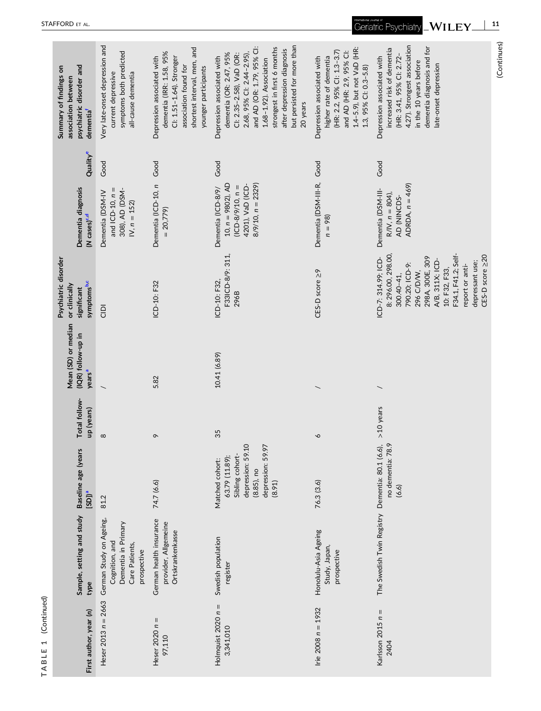| Heser $2013 n = 2663$<br>First author, year (n) | Sample, setting and study<br>type                                                                 | Baseline age (years<br>$\frac{e(\text{CCS})}{e(\text{CCS})}$                                                              | Total follow-<br>up (years) | Mean (SD) or median<br>(IQR) follow-up in<br>years <sup>a</sup> | Psychiatric disorder<br>symptoms <sup>b,c</sup><br>or clinically<br>significant                                                                                                                                                   | Dementia diagnosis<br>(N cases) <sup>c,d</sup>                                                                  | Quality <sup>e</sup> | psychiatric disorder and<br>Summary of findings on<br>association between<br>dementia <sup>f</sup>                                                                                                                                                                           |
|-------------------------------------------------|---------------------------------------------------------------------------------------------------|---------------------------------------------------------------------------------------------------------------------------|-----------------------------|-----------------------------------------------------------------|-----------------------------------------------------------------------------------------------------------------------------------------------------------------------------------------------------------------------------------|-----------------------------------------------------------------------------------------------------------------|----------------------|------------------------------------------------------------------------------------------------------------------------------------------------------------------------------------------------------------------------------------------------------------------------------|
|                                                 | German Study on Ageing,<br>Dementia in Primary<br>Cognition, and<br>Care Patients,<br>prospective | 81.2                                                                                                                      | $\infty$                    |                                                                 | $\frac{1}{2}$                                                                                                                                                                                                                     | and $ICD-10$ , $n =$<br>308), AD (DSM-<br>Dementia (DSM-IV<br>$N, n = 152$                                      | Good                 | Very late-onset depression and<br>symptoms both predicted<br>current depressive<br>all-cause dementia                                                                                                                                                                        |
| Heser $2020 n =$                                | German health insurance<br>provider, Allgemeine<br>Ortskrankenkasse                               | 74.7 (6.6)                                                                                                                | ó                           | 5.82                                                            | ICD-10: F32                                                                                                                                                                                                                       | Dementia (ICD-10, n<br>$= 20,779$                                                                               | Good                 | shortest interval, men, and<br>dementia (IRR: 1.58, 95%<br>Depression associated with<br>Cl: 1.51-1.64). Stronger<br>association found for<br>younger participants                                                                                                           |
| Holmquist $2020 n =$                            | Swedish population<br>register                                                                    | depression: 59.10<br>depression: 59.97<br>Sibling cohort-<br>63.79 (11.89);<br>Matched cohort:<br>$(8.85)$ , no<br>(8.91) | 35                          | 10.41 (6.89)                                                    | F33ICD-8/9: 311<br>ICD-10: F32,<br>296B                                                                                                                                                                                           | $10, n = 9802$ ), AD<br>$8/9/10$ , $n = 2329$ )<br>4201), VaD (ICD-<br>$(ICD-8/9/10, n =$<br>Dementia (ICD-8/9/ | Good                 | but persisted for more than<br>strongest in first 6 months<br>after depression diagnosis<br>and AD (OR: 1.79, 95% CI<br>dementia (OR: 2.47, 95%<br>Cl: 2.35-2.58), VaD (OR:<br>2.68, 95% Cl: 2.44-2.95)<br>Depression associated with<br>1.68-1.92). Association<br>20 years |
| Irie 2008 $n = 1932$                            | Honolulu-Asia Ageing<br>Study, Japan,<br>prospective                                              | 76.3 (3.6)                                                                                                                | ∘                           |                                                                 | CES-D score ≥9                                                                                                                                                                                                                    | Dementia (DSM-III-R,<br>$n = 98$                                                                                | Good                 | 1.4-5.9), but not VaD (HR:<br>(HR: 2.2, 95% Cl: 1.3-3.7)<br>and AD (HR: 2.9, 95% Cl:<br>higher rate of dementia<br>Depression associated with<br>1.3, 95% CI: 0.3-5.8)                                                                                                       |
| Karlsson $2015 n =$                             | The Swedish Twin Registry Dementia: 80.1 (6.6),                                                   | no dementia: 78.9<br>(6.6)                                                                                                | $>10$ years                 |                                                                 | 8: 296.00, 298.00,<br>F34.1, F41.2; Self-<br>CES-D score 220<br>298A, 300E, 309<br>ICD-7: 314.99; ICD-<br>A/B, 311X; ICD-<br>depressant use;<br>790.20; ICD-9:<br>report or anti-<br>10: F32, F33,<br>296 C/D/W,<br>$300.40 - 41$ | ADRDA, $n = 469$<br>Dementia (DSM-III-<br>$R/IV, n = 804$ ),<br>AD (NINCDS-                                     | Good                 | 4.27). Strongest association<br>dementia diagnosis and for<br>increased risk of dementia<br>(HR: 3.41, 95% CI: 2.72-<br>Depression associated with<br>in the 10 years before<br>late-onset depression                                                                        |
|                                                 |                                                                                                   |                                                                                                                           |                             |                                                                 |                                                                                                                                                                                                                                   |                                                                                                                 |                      | (Continues)                                                                                                                                                                                                                                                                  |

**TABLE 1** (Continued)

TABLE 1 (Continued)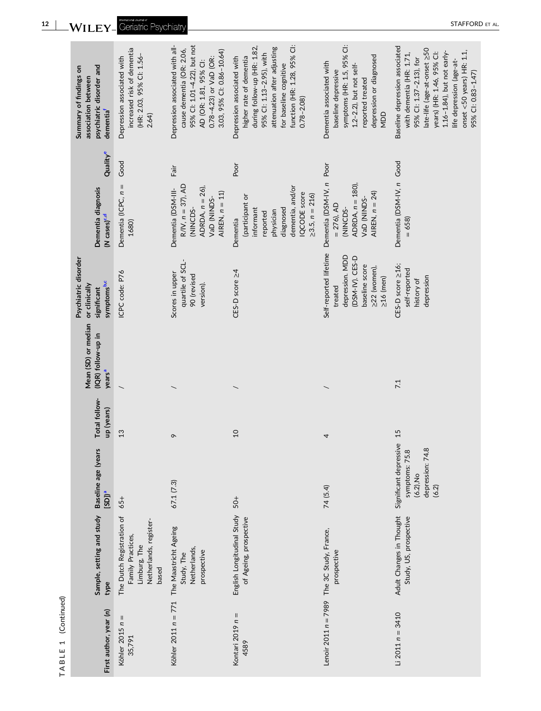| psychiatric disorder and<br>Summary of findings on<br>association between<br>dementia <sup>f</sup> | increased risk of dementia<br>(HR: 2.03, 95% Cl: 1.56-<br>Depression associated with<br>2.64)     | 95% Cl: 1.01-4.22), but not<br>Depression associated with all-<br>cause dementia (OR: 2.06,<br>3.03, 95% Cl: 0.86-10.64)<br>0.78-4.23) or VaD (OR:<br>AD (OR: 1.81, 95% CI: | function (HR: 1.28, 95% Cl:<br>during follow-up (HR: 1.82,<br>attenuation after adjusting<br>95% Cl: 1.13-2.95), with<br>higher rate of dementia<br>Depression associated with<br>for baseline cognitive<br>$0.78 - 2.08$ | symptoms (HR: 1.5, 95% Cl:<br>depression or diagnosed<br>Dementia associated with<br>$1.2 - 2.2$ ), but not self-<br>baseline depressive<br>reported treated<br>NDD | Baseline depression associated<br>late-life (age-at-onset ≥50<br>$1.16 - 1.84$ ), but not early-<br>onset $<$ 50 years) HR: 1.1,<br>years) (HR: 1.46, 95% Cl:<br>with dementia (HR: 1.71,<br>95% CI: 1.37-2.13), for<br>life depression (age-at-<br>95% CI: 0.83-1.47) |
|----------------------------------------------------------------------------------------------------|---------------------------------------------------------------------------------------------------|-----------------------------------------------------------------------------------------------------------------------------------------------------------------------------|---------------------------------------------------------------------------------------------------------------------------------------------------------------------------------------------------------------------------|---------------------------------------------------------------------------------------------------------------------------------------------------------------------|------------------------------------------------------------------------------------------------------------------------------------------------------------------------------------------------------------------------------------------------------------------------|
| Quality <sup>e</sup>                                                                               | Good                                                                                              | Fair                                                                                                                                                                        | pod                                                                                                                                                                                                                       | Poor                                                                                                                                                                |                                                                                                                                                                                                                                                                        |
| Dementia diagnosis<br>(N cases) <sup>c,d</sup>                                                     | Dementia (ICPC, $n =$<br>1680)                                                                    | $R/N, n = 37, AD$<br>ADRDA, $n = 26$ ),<br>Dementia (DSM-III-<br>AIREN, $n = 11$ )<br>VaD (NINDS-<br>(NINCDS-                                                               | dementia, and/or<br><b>IQCODE</b> score<br>$\geq$ 3.5, $n = 216$<br>(participant or<br>diagnosed<br>informant<br>physician<br>reported<br>Dementia                                                                        | Dementia (DSM-IV, n<br>ADRDA, $n = 180$ ),<br>AIREN, $n = 24$ )<br>VaD (NINDS-<br>$= 276$ , AD<br>(NINCDS-                                                          | Dementia (DSM-IV, n Good<br>658)                                                                                                                                                                                                                                       |
| Psychiatric disorder<br>symptoms <sup>b,c</sup><br>or clinically<br>significant                    | ICPC code: P76                                                                                    | quartile of SCL-<br>Scores in upper<br>90 (revised<br>version).                                                                                                             | CES-D score ≥4                                                                                                                                                                                                            | Self-reported lifetime<br>depression. MDD<br>(DSM-IV). CES-D<br>baseline score<br>≥22 (women),<br>$\geq$ 16 (men)<br>treated                                        | CES-D score ≥16;<br>self-reported<br>depression<br>history of                                                                                                                                                                                                          |
| Mean (SD) or median<br>(IQR) follow-up in<br>years <sup>a</sup>                                    |                                                                                                   |                                                                                                                                                                             |                                                                                                                                                                                                                           |                                                                                                                                                                     | 7.1                                                                                                                                                                                                                                                                    |
| Total follow-<br>up (years)                                                                        | 13                                                                                                | $\sigma$                                                                                                                                                                    | $\Omega$                                                                                                                                                                                                                  | 4                                                                                                                                                                   | 15                                                                                                                                                                                                                                                                     |
| Baseline age (years<br>$[SD]$ <sup>a</sup>                                                         | $65+$                                                                                             | 67.1 (7.3)                                                                                                                                                                  | $50+$                                                                                                                                                                                                                     | 74 (5.4)                                                                                                                                                            | Significant depressive<br>depression: 74.8<br>symptoms: 75.8<br>$(6.2)$ , No<br>(6.2)                                                                                                                                                                                  |
| Sample, setting and study<br>type                                                                  | The Dutch Registration of<br>Netherlands, register-<br>Family Practices,<br>Limburg, The<br>based | Netherlands,<br>prospective<br>Study, The                                                                                                                                   | English Longitudinal Study<br>of Ageing, prospective                                                                                                                                                                      | prospective                                                                                                                                                         | Adult Changes in Thought<br>Study, US, prospective                                                                                                                                                                                                                     |
| First author, year (n)                                                                             | Ш<br>$\overline{\phantom{a}}$<br>Köhler 2015<br>35,791                                            | Köhler 2011 n = 771 The Maastricht Ageing                                                                                                                                   | Kontari 2019 $n =$<br>4589                                                                                                                                                                                                | Lenoir 2011 n = 7989 The 3C Study, France,                                                                                                                          | $Li$ 2011 $n = 3410$                                                                                                                                                                                                                                                   |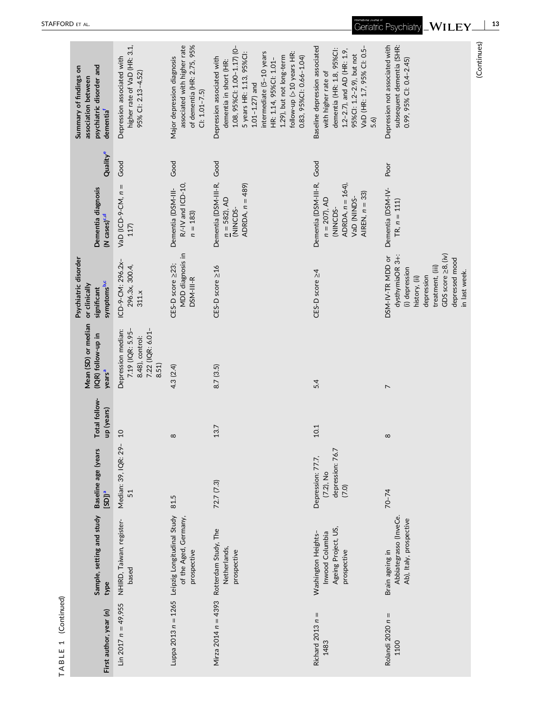| First author, year (n)     | Sample, setting and study<br>type                                                      | Baseline age (years<br>$[SD]$ <sup>a</sup>                     | Total follow-<br>up (years) | Mean (SD) or median<br>(IQR) follow-up in<br>years <sup>a</sup>                        | Psychiatric disorder<br>symptoms <sup>b,c</sup><br>or clinically<br>significant                                                                                   | Dementia diagnosis<br>(N cases) <sup>c,d</sup>                                                                     | Quality <sup>e</sup> | psychiatric disorder and<br>Summary of findings on<br>association between<br>dementia <sup>f</sup>                                                                                                                                                                              |
|----------------------------|----------------------------------------------------------------------------------------|----------------------------------------------------------------|-----------------------------|----------------------------------------------------------------------------------------|-------------------------------------------------------------------------------------------------------------------------------------------------------------------|--------------------------------------------------------------------------------------------------------------------|----------------------|---------------------------------------------------------------------------------------------------------------------------------------------------------------------------------------------------------------------------------------------------------------------------------|
| Lin 2017 $n = 49,955$      | NHIRD, Taiwan, register-<br>based                                                      | $\overline{\phi}$<br>Median: 39, IQR: 2<br>51                  | $\overline{c}$              | 7.22 (IQR: 6.01-<br>7.19 (IQR: 5.95-<br>Depression median:<br>8.48), control:<br>8.51) | ICD-9-CM: 296.2x-<br>296.3x, 300.4,<br>311.x                                                                                                                      | VaD (ICD-9-CM, $n =$<br>117)                                                                                       | Good                 | higher rate of VaD (HR: 3.1,<br>Depression associated with<br>95% CI: 2.13-4.52)                                                                                                                                                                                                |
|                            | Luppa 2013 n = 1265 Leipzig Longitudinal Study<br>of the Aged, Germany,<br>prospective | 81.5                                                           | ${}^{\circ}$                | 4.3 (2.4)                                                                              | MDD diagnosis in<br>CES-D score ≥23;<br>DSM-III-R                                                                                                                 | R/-IV and ICD-10<br>Dementia (DSM-III-<br>$n = 183$                                                                | Good                 | of dementia (HR: 2.75, 95%<br>associated with higher rate<br>Major depression diagnosis<br>$C: 1.01 - 7.5$                                                                                                                                                                      |
|                            | Mirza 2014 n = 4393 Rotterdam Study, The<br>Netherlands,<br>prospective                | 72.7 (7.3)                                                     | 13.7                        | 8.7(3.5)                                                                               | CES-D score ≥16                                                                                                                                                   | Dementia (DSM-III-R,<br>ADRDA, $n = 489$ )<br>$n = 582, AD$<br>(NINCDS-                                            | Good                 | 1.08, 95%Cl: 1.00-1.17) (0-<br>5 years HR: 1.13, 95%Cl:<br>intermediate (5-10 years<br>follow-up (>10 years HR:<br>1.29), but not long-term<br>0.83, 95%Cl: 0.66-1.04)<br>Depression associated with<br>HR: 1.14, 95%Cl: 1.01-<br>dementia in short (HR:<br>$1.01 - 1.27$ ) and |
| Richard 2013 $n =$<br>1483 | Ageing Project, US,<br>Inwood Columbia<br>Washington Heights-<br>prospective           | depression: 76.7<br>Depression: 77.7,<br>$(7.2)$ , No<br>(7.0) | 10.1                        | 5.4                                                                                    | CES-D score 24                                                                                                                                                    | Dementia (DSM-III-R, Good<br>ADRDA, $n = 164$ ),<br>AIREN, $n = 33$ )<br>VaD (NINDS-<br>$n = 207$ , AD<br>(NINCDS- |                      | Baseline depression associated<br>VaD (HR: 1.7, 95% CI: 0.5-<br>dementia (HR: 1.8, 95%Cl:<br>1.2-2.7), and AD (HR: 1.9,<br>95%Cl: 1.2-2.9), but not<br>with higher rate of<br>5.6)                                                                                              |
| Rolandi 2020 $n =$<br>1100 | Abbiategrasso (InveCe.<br>Ab), Italy, prospective<br>Brain ageing in                   | $70 - 74$                                                      | $\infty$                    | $\overline{ }$                                                                         | GDS score 28, (iv)<br>dysthymiaOR 3+:<br>DSM-IV-TR MDD or<br>depressed mood<br>treatment, (iii)<br>(i) depression<br>in last week.<br>depression<br>history, (ii) | Dementia (DSM-IV-<br>$TR, n = 111$                                                                                 | Poor                 | Depression not associated with<br>subsequent dementia (SHR:<br>0.99, 95% CI: 0.4-2.45)                                                                                                                                                                                          |

(Continues)

(Continues)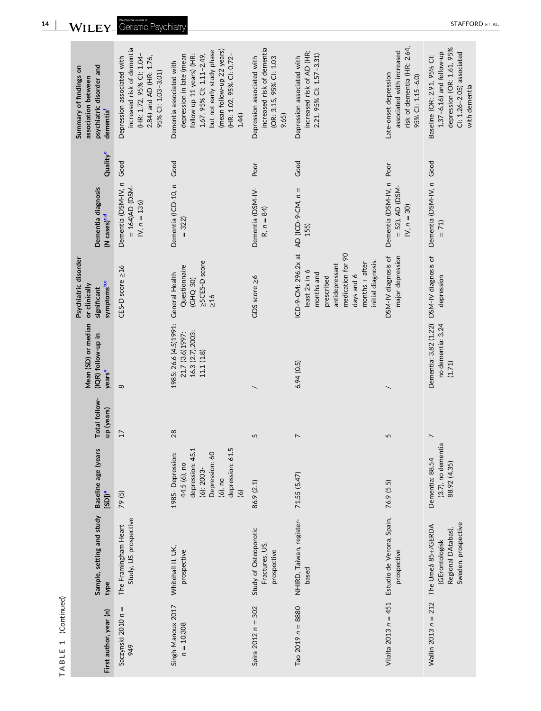| psychiatric disorder and<br>Summary of findings on<br>association between<br>dementia <sup>f</sup> | increased risk of dementia<br>(HR: 1.72, 95% Cl: 1.04-<br>2.84) and AD (HR: 1.76,<br>Depression associated with<br>95% CI: 1.03-3.01) | (mean follow-up 22 years)<br>but not early study phase<br>1.67, 95% Cl: 1.11-2.49,<br>depression in late (mean<br>(HR: 1.02, 95% CI: 0.72-<br>follow-up 11 years) (HR:<br>Dementia associated with<br>1.44 | increased risk of dementia<br>(OR: 3.15, 95% CI: 1.03-<br>Depression associated with<br>9.65) | increased risk of AD (HR:<br>2.21, 95% Cl: 1.57-3.31)<br>Depression associated with                                                                             | risk of dementia (HR: 2.64,<br>associated with increased<br>Late-onset depression<br>95% CI: 1.15-6.0) | depression (OR: 1.61, 95%<br>$1.37 - 6.16$ ) and follow-up<br>Cl: 1.26-2.05) associated<br>Baseline (OR: 2.91, 95% Cl:<br>with dementia |
|----------------------------------------------------------------------------------------------------|---------------------------------------------------------------------------------------------------------------------------------------|------------------------------------------------------------------------------------------------------------------------------------------------------------------------------------------------------------|-----------------------------------------------------------------------------------------------|-----------------------------------------------------------------------------------------------------------------------------------------------------------------|--------------------------------------------------------------------------------------------------------|-----------------------------------------------------------------------------------------------------------------------------------------|
| Qualitye                                                                                           | Good                                                                                                                                  | Good                                                                                                                                                                                                       | Poor                                                                                          | Good                                                                                                                                                            | Poor                                                                                                   |                                                                                                                                         |
| Dementia diagnosis<br>(N cases) <sup>c,d</sup>                                                     | Dementia (DSM-IV, n<br>$= 164$ )<br>AD (DSM-<br>$N, n = 136$                                                                          | Dementia (ICD-10, n<br>$= 322$                                                                                                                                                                             | Dementia (DSM-IV-<br>$R, n = 84$                                                              | AD (ICD-9-CM, $n =$<br>155)                                                                                                                                     | Dementia (DSM-IV, n<br>$= 52$ ), AD (DSM-<br>$N, n = 30$                                               | Dementia (DSM-IV, n Good<br>$= 71$                                                                                                      |
| Psychiatric disorder<br>symptoms <sup>b,c</sup><br>or clinically<br>significant                    | CES-D score ≥16                                                                                                                       | >5CES-D score<br>Questionnaire<br>General Health<br>(GHQ-30)<br>$\geq 16$                                                                                                                                  | GDS score ≥6                                                                                  | ICD-9-CM: 296.2x at<br>medication for 90<br>initial diagnosis.<br>months $+$ after<br>antidepressant<br>least 2x in 6<br>months and<br>days and 6<br>prescribed | DSM-IV diagnosis of<br>major depression                                                                | DSM-IV diagnosis of<br>depression                                                                                                       |
| Mean (SD) or median<br>(IQR) follow-up in<br>years <sup>a</sup>                                    | $\infty$                                                                                                                              | 1985: 26.6 (4.5)1991:<br>16.3 (2.7),2003:<br>21.7 (3.6)1997:<br>11.1(1.8)                                                                                                                                  |                                                                                               | 6.94(0.5)                                                                                                                                                       |                                                                                                        | Dementia: 3.82 (1.22)<br>no dementia: 3.24<br>(1.71)                                                                                    |
| Total follow-<br>up (years)                                                                        | 17                                                                                                                                    | 28                                                                                                                                                                                                         | 5                                                                                             | $\overline{ }$                                                                                                                                                  | 5                                                                                                      | $\overline{ }$                                                                                                                          |
| Baseline age (years<br>$[SD]$ <sup>a</sup>                                                         | 79(5)                                                                                                                                 | 5<br>1985-Depression:<br>depression: 45.<br>Depression: 60<br>depression: 61<br>44.5 (6), no<br>$(6)$ ; 2003-<br>$(6)$ , no<br>$\circ$                                                                     | 86.9 (2.1)                                                                                    | 71.55 (5.47)                                                                                                                                                    | 76.9 (5.5)                                                                                             | (3.7), no dementia<br>Dementia: 88.54<br>88.92 (4.35)                                                                                   |
| Sample, setting and study<br>type                                                                  | Study, US prospective<br>The Framingham Heart                                                                                         | Whitehall II, UK,<br>prospective                                                                                                                                                                           | Study of Osteoporotic<br>Fractures, US,<br>prospective                                        | NHIRD, Taiwan, register-<br>based                                                                                                                               | Estudio de Verona, Spain,<br>prospective                                                               | Sweden, prospective<br>The Umeå 85+/GERDA<br>Regional DAtabas),<br>(GErontologisk                                                       |
| First author, year (n)                                                                             | Saczynski 2010 $n =$<br>949                                                                                                           | Singh-Manoux 2017<br>$n = 10,308$                                                                                                                                                                          | Spira 2012 $n = 302$                                                                          | Tao $2019 n = 8880$                                                                                                                                             | Vilalta 2013 $n = 451$                                                                                 | Wallin 2013 $n = 212$                                                                                                                   |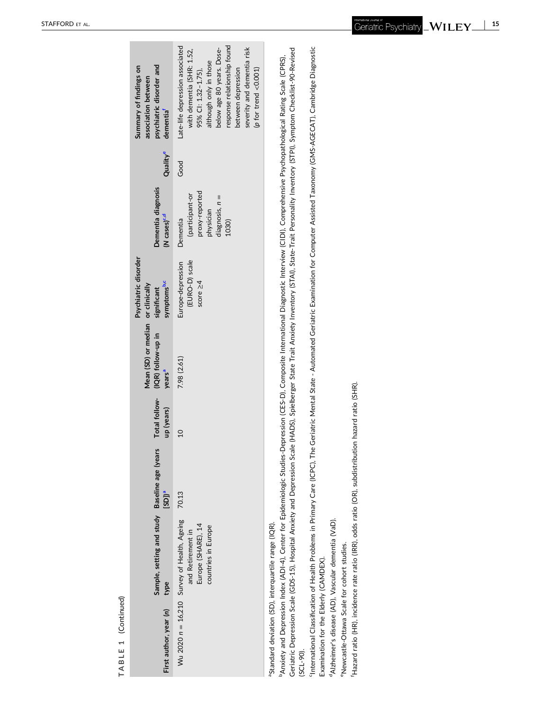| í. |
|----|
|    |
|    |
|    |

<span id="page-14-0"></span>

| First author, year (n) | Sample, setting and study Baseline age (years<br>type                                                         | $[SD]$ <sup>a</sup> | up (years)     | Mean (SD) or median or clinically<br>Total follow- (IQR) follow-up in<br>years <sup>a</sup> | Psychiatric disorder<br>symptoms <sup>b,c</sup><br>significant | Dementia diagnosis<br>(N cases) <sup>c,d</sup>                                             | Quality <sup>e</sup> | psychiatric disorder and<br>Summary of findings on<br>association between<br>dementia <sup>f</sup>                                                                                                                                                           |
|------------------------|---------------------------------------------------------------------------------------------------------------|---------------------|----------------|---------------------------------------------------------------------------------------------|----------------------------------------------------------------|--------------------------------------------------------------------------------------------|----------------------|--------------------------------------------------------------------------------------------------------------------------------------------------------------------------------------------------------------------------------------------------------------|
|                        | Wu 2020 n = 16,210 Survey of Health, Ageing<br>Europe (SHARE), 14<br>countries in Europe<br>and Retirement in | 70.13               | $\overline{0}$ | 7.98 (2.61)                                                                                 | Europe-depression<br>(EURO-D) scale<br>score $\geq 4$          | proxy-reported<br>(participant-or<br>$di$ agnosis, $n =$<br>physician<br>Dementia<br>1030) | Good                 | Late-life depression associated<br>response relationship found<br>below age 80 years. Dose-<br>severity and dementia risk<br>with dementia (SHR: 1.52,<br>although only in those<br>between depression<br>95% CI: 1.32-1.75),<br>( $p$ for trend < $0.001$ ) |
|                        | <sup>3</sup> Standard deviation (SD), interquartile range (IQR).                                              |                     |                |                                                                                             |                                                                |                                                                                            |                      |                                                                                                                                                                                                                                                              |

ပ္ပွဲ

Geriatric Depression Scale (GDS-15), Hospital Anxiety and Depression Scale (HADS), Spielberger State Trait Anxiety Inventory (STAI), State-Trait Personality Inventory (STPI), Symptom Checklist-90-Revised Geriatric Depression Scale (GDS‐15), Hospital Anxiety and Depression Scale (HADS), Spielberger State Trait Anxiety Inventory (STAI), State‐Trait Personality Inventory (STPI), Symptom Checklist‐90‐Revised <sup>b</sup>Anxiety and Depression Index (ADI-4), Center for Epidemiologic Studies-Depression (CES-D), Composite International Diagnostic Interview (CIDI), Comprehensive Psychopathological Rating Scale (CPRS), bAnxiety and Depression Index (ADI‐4), Center for Epidemiologic Studies‐Depression (CES‐D), Composite International Diagnostic Interview (CIDI), Comprehensive Psychopathological Rating Scale (CPRS), (SCL‐90).

<sup>c</sup>International Classification of Health Problems in Primary Care (ICPC), The Geriatric Mental State - Automated Geriatric Examination for Computer Assisted Taxonomy (GMS-AGECAT), Cambridge Diagnostic cInternational Classification of Health Problems in Primary Care (ICPC), The Geriatric Mental State ‐ Automated Geriatric Examination for Computer Assisted Taxonomy (GMS‐AGECAT), Cambridge Diagnostic Examination for the Elderly (CAMDEX). Examination for the Elderly (CAMDEX).

<sup>d</sup>Alzheimer's disease (AD), Vascular dementia (VaD). dAlzheimer's disease (AD), Vascular dementia (VaD).

<sup>e</sup>Newcastle-Ottawa Scale for cohort studies. eNewcastle‐Ottawa Scale for cohort studies.

'Hazard ratio (HR), incidence rate ratio (IRR), odds ratio (OR), subdistribution hazard ratio (SHR). fHazard ratio (HR), incidence rate ratio (IRR), odds ratio (OR), subdistribution hazard ratio (SHR).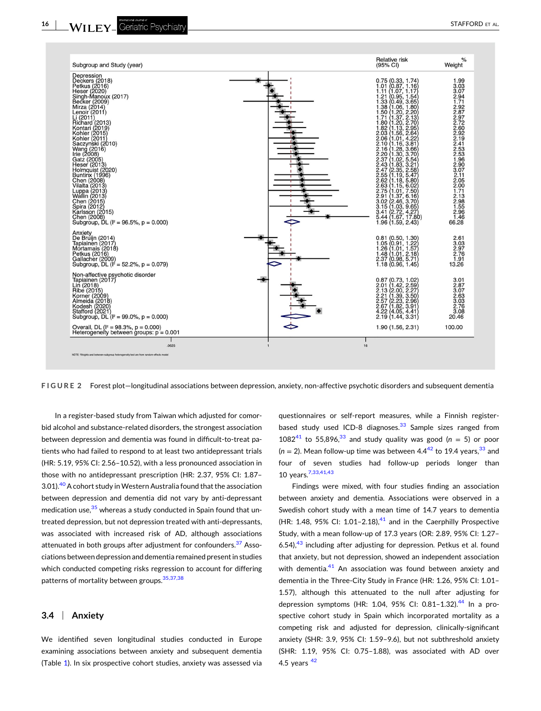<span id="page-15-0"></span>

**FIGURE 2** Forest plot—longitudinal associations between depression, anxiety, non‐affective psychotic disorders and subsequent dementia

In a register-based study from Taiwan which adjusted for comorbid alcohol and substance‐related disorders, the strongest association between depression and dementia was found in difficult‐to‐treat patients who had failed to respond to at least two antidepressant trials (HR: 5.19, 95% CI: 2.56–10.52), with a less pronounced association in those with no antidepressant prescription (HR: 2.37, 95% CI: 1.87– 3.01).<sup>40</sup> A cohort study in Western Australia found that the association between depression and dementia did not vary by anti-depressant medication use,<sup>[35](#page-20-0)</sup> whereas a study conducted in Spain found that untreated depression, but not depression treated with anti-depressants, was associated with increased risk of AD, although associations attenuated in both groups after adjustment for confounders.<sup>[37](#page-20-0)</sup> Associations between depression and dementia remained presentin studies which conducted competing risks regression to account for differing patterns of mortality between groups.<sup>[35,37,38](#page-20-0)</sup>

#### **3.4** <sup>|</sup> **Anxiety**

We identified seven longitudinal studies conducted in Europe examining associations between anxiety and subsequent dementia (Table [1\)](#page-4-0). In six prospective cohort studies, anxiety was assessed via

questionnaires or self‐report measures, while a Finnish register‐ based study used ICD-8 diagnoses.<sup>[33](#page-20-0)</sup> Sample sizes ranged from 1082<sup>41</sup> to 55,896,<sup>[33](#page-20-0)</sup> and study quality was good ( $n = 5$ ) or poor  $(n = 2)$ . Mean follow-up time was between  $4.4^{42}$  $4.4^{42}$  $4.4^{42}$  to 19.4 years,  $33$  and four of seven studies had follow‐up periods longer than 10 years[.7,33,41,43](#page-19-0)

Findings were mixed, with four studies finding an association between anxiety and dementia. Associations were observed in a Swedish cohort study with a mean time of 14.7 years to dementia (HR: 1.48, 95% CI: 1.01-2.18), $41$  and in the Caerphilly Prospective Study, with a mean follow‐up of 17.3 years (OR: 2.89, 95% CI: 1.27– 6.54), $43$  including after adjusting for depression. Petkus et al. found that anxiety, but not depression, showed an independent association with dementia.<sup>41</sup> An association was found between anxiety and dementia in the Three‐City Study in France (HR: 1.26, 95% CI: 1.01– 1.57), although this attenuated to the null after adjusting for depression symptoms (HR: 1.04, 95% CI: 0.81-1.32).<sup>[44](#page-20-0)</sup> In a prospective cohort study in Spain which incorporated mortality as a competing risk and adjusted for depression, clinically‐significant anxiety (SHR: 3.9, 95% CI: 1.59–9.6), but not subthreshold anxiety (SHR: 1.19, 95% CI: 0.75–1.88), was associated with AD over 4.5 years  $42$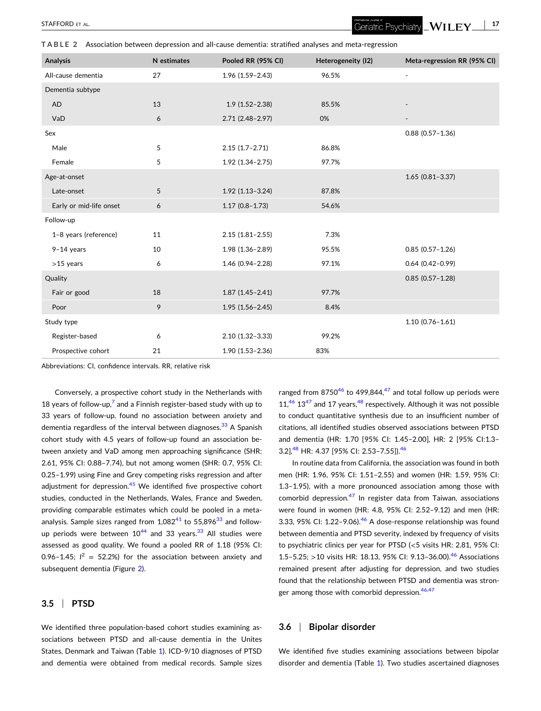<span id="page-16-0"></span>**TABLE 2** Association between depression and all‐cause dementia: stratified analyses and meta‐regression

| Analysis                | N estimates | Pooled RR (95% CI)  | Heterogeneity (I2) | Meta-regression RR (95% CI) |
|-------------------------|-------------|---------------------|--------------------|-----------------------------|
| All-cause dementia      | 27          | 1.96 (1.59-2.43)    | 96.5%              | $\overline{\phantom{a}}$    |
| Dementia subtype        |             |                     |                    |                             |
| AD                      | 13          | $1.9(1.52 - 2.38)$  | 85.5%              |                             |
| VaD                     | 6           | $2.71(2.48-2.97)$   | 0%                 |                             |
| Sex                     |             |                     |                    | $0.88$ $(0.57 - 1.36)$      |
| Male                    | 5           | $2.15(1.7-2.71)$    | 86.8%              |                             |
| Female                  | 5           | 1.92 (1.34-2.75)    | 97.7%              |                             |
| Age-at-onset            |             |                     |                    | $1.65(0.81 - 3.37)$         |
| Late-onset              | 5           | $1.92(1.13-3.24)$   | 87.8%              |                             |
| Early or mid-life onset | 6           | $1.17(0.8 - 1.73)$  | 54.6%              |                             |
| Follow-up               |             |                     |                    |                             |
| 1-8 years (reference)   | 11          | $2.15(1.81 - 2.55)$ | 7.3%               |                             |
| $9-14$ years            | 10          | 1.98 (1.36-2.89)    | 95.5%              | $0.85(0.57 - 1.26)$         |
| $>15$ years             | 6           | 1.46 (0.94-2.28)    | 97.1%              | $0.64(0.42 - 0.99)$         |
| Quality                 |             |                     |                    | $0.85(0.57 - 1.28)$         |
| Fair or good            | 18          | $1.87(1.45 - 2.41)$ | 97.7%              |                             |
| Poor                    | 9           | $1.95(1.56 - 2.45)$ | 8.4%               |                             |
| Study type              |             |                     |                    | $1.10(0.76 - 1.61)$         |

Abbreviations: CI, confidence intervals. RR, relative risk

Conversely, a prospective cohort study in the Netherlands with 18 years of follow-up, $\frac{7}{7}$  $\frac{7}{7}$  $\frac{7}{7}$  and a Finnish register-based study with up to 33 years of follow‐up, found no association between anxiety and dementia regardless of the interval between diagnoses.<sup>[33](#page-20-0)</sup> A Spanish cohort study with 4.5 years of follow‐up found an association between anxiety and VaD among men approaching significance (SHR: 2.61, 95% CI: 0.88–7.74), but not among women (SHR: 0.7, 95% CI: 0.25–1.99) using Fine and Grey competing risks regression and after adjustment for depression. $45$  We identified five prospective cohort studies, conducted in the Netherlands, Wales, France and Sweden, providing comparable estimates which could be pooled in a metaanalysis. Sample sizes ranged from  $1,082^{41}$  $1,082^{41}$  $1,082^{41}$  to 55,896 $33$  and followup periods were between  $10^{44}$  $10^{44}$  $10^{44}$  and [33](#page-20-0) years.<sup>33</sup> All studies were assessed as good quality. We found a pooled RR of 1.18 (95% CI: 0.96–1.45;  $I^2 = 52.2\%$ ) for the association between anxiety and subsequent dementia (Figure [2](#page-15-0)).

Register-based 6 6 2.10 (1.32–3.33) 99.2% Prospective cohort 21 1.90 (1.53–2.36) 83%

#### **3.5** <sup>|</sup> **PTSD**

We identified three population-based cohort studies examining associations between PTSD and all-cause dementia in the Unites States, Denmark and Taiwan (Table [1](#page-4-0)). ICD-9/10 diagnoses of PTSD and dementia were obtained from medical records. Sample sizes

ranged from 8750 $46$  to 499,844, $47$  and total follow up periods were  $11<sup>46</sup> 13<sup>47</sup>$  $11<sup>46</sup> 13<sup>47</sup>$  $11<sup>46</sup> 13<sup>47</sup>$  and 17 years,  $<sup>48</sup>$  respectively. Although it was not possible</sup> to conduct quantitative synthesis due to an insufficient number of citations, all identified studies observed associations between PTSD and dementia (HR: 1.70 [95% CI: 1.45–2.00], HR: 2 [95% CI:1.3– 3.2],<sup>[48](#page-20-0)</sup> HR: 4.37 [95% CI: 2.53-7.55]).<sup>[46](#page-20-0)</sup>

In routine data from California, the association was found in both men (HR: 1.96, 95% CI: 1.51–2.55) and women (HR: 1.59, 95% CI: 1.3–1.95), with a more pronounced association among those with comorbid depression. $47$  In register data from Taiwan, associations were found in women (HR: 4.8, 95% CI: 2.52–9.12) and men (HR: 3.33, 95% CI:  $1.22 - 9.06$ ).<sup>[46](#page-20-0)</sup> A dose-response relationship was found between dementia and PTSD severity, indexed by frequency of visits to psychiatric clinics per year for PTSD (<5 visits HR: 2.81, 95% CI: 1.5–5.25; >10 visits HR: 18.13, 95% CI: 9.13–36.00).<sup>[46](#page-20-0)</sup> Associations remained present after adjusting for depression, and two studies found that the relationship between PTSD and dementia was stron-ger among those with comorbid depression.<sup>[46,47](#page-20-0)</sup>

## **3.6** <sup>|</sup> **Bipolar disorder**

We identified five studies examining associations between bipolar disorder and dementia (Table [1](#page-4-0)). Two studies ascertained diagnoses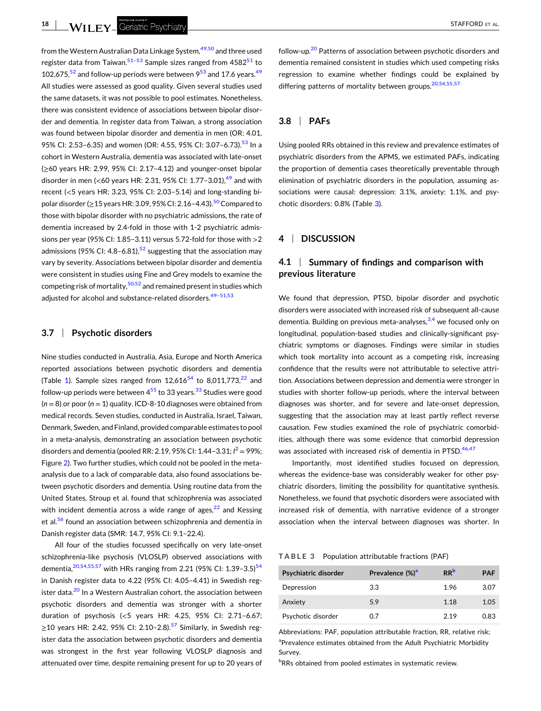from the Western Australian Data Linkage System, <sup>[49,50](#page-20-0)</sup> and three used register data from Taiwan.<sup>[51–53](#page-20-0)</sup> Sample sizes ranged from  $4582^{51}$  $4582^{51}$  $4582^{51}$  to 102,675, $52$  and follow-up periods were between  $9<sup>53</sup>$  $9<sup>53</sup>$  $9<sup>53</sup>$  and 17.6 years.<sup>49</sup> All studies were assessed as good quality. Given several studies used the same datasets, it was not possible to pool estimates. Nonetheless, there was consistent evidence of associations between bipolar disorder and dementia. In register data from Taiwan, a strong association was found between bipolar disorder and dementia in men (OR: 4.01, 95% CI: 2.[53](#page-20-0)-6.35) and women (OR: 4.55, 95% CI: 3.07-6.73).<sup>53</sup> In a cohort in Western Australia, dementia was associated with late‐onset (≥60 years HR: 2.99, 95% CI: 2.17–4.12) and younger‐onset bipolar disorder in men (<60 years HR: 2.31, 95% CI: 1.77-3.01),<sup>49</sup> and with recent (<5 years HR: 3.23, 95% CI: 2.03–5.14) and long‐standing bipolar disorder ( $\geq$ 15 years HR: 3.09, 95% CI: 2.16–4.43).<sup>[50](#page-20-0)</sup> Compared to those with bipolar disorder with no psychiatric admissions, the rate of dementia increased by 2.4‐fold in those with 1‐2 psychiatric admissions per year (95% CI: 1.85–3.11) versus 5.72-fold for those with  $>2$ admissions (95% CI: 4.8–6.81),<sup>52</sup> suggesting that the association may vary by severity. Associations between bipolar disorder and dementia were consistent in studies using Fine and Grey models to examine the competing risk of mortality,  $50,52$  and remained present in studies which adjusted for alcohol and substance-related disorders.<sup>49-51,53</sup>

#### **3.7** <sup>|</sup> **Psychotic disorders**

Nine studies conducted in Australia, Asia, Europe and North America reported associations between psychotic disorders and dementia (Table [1\)](#page-4-0). Sample sizes ranged from  $12,616^{54}$  $12,616^{54}$  $12,616^{54}$  to 8,011,773,<sup>[22](#page-19-0)</sup> and follow-up periods were between  $4^{55}$  to [33](#page-20-0) years.<sup>33</sup> Studies were good (*n* = 8) or poor (*n* = 1) quality. ICD‐8‐10 diagnoses were obtained from medical records. Seven studies, conducted in Australia, Israel, Taiwan, Denmark, Sweden, and Finland, provided comparable estimates to pool in a meta‐analysis, demonstrating an association between psychotic disorders and dementia (pooled RR: 2.19, 95% CI: 1.44–3.31; *I* <sup>2</sup> = 99%; Figure [2](#page-15-0)). Two further studies, which could not be pooled in the metaanalysis due to a lack of comparable data, also found associations between psychotic disorders and dementia. Using routine data from the United States, Stroup et al. found that schizophrenia was associated with incident dementia across a wide range of ages, $22$  and Kessing et al.<sup>[56](#page-20-0)</sup> found an association between schizophrenia and dementia in Danish register data (SMR: 14.7, 95% CI: 9.1–22.4).

All four of the studies focussed specifically on very late‐onset schizophrenia‐like psychosis (VLOSLP) observed associations with dementia,  $20,54,55,57$  with HRs ranging from 2.21 (95% CI: 1.39-3.5)<sup>54</sup> in Danish register data to 4.22 (95% CI: 4.05–4.41) in Swedish reg-ister data.<sup>[20](#page-19-0)</sup> In a Western Australian cohort, the association between psychotic disorders and dementia was stronger with a shorter duration of psychosis (<5 years HR: 4.25, 95% CI: 2.71–6.67;  $≥$ 10 years HR: 2.42, 95% CI: 2.10−2.8).<sup>[57](#page-20-0)</sup> Similarly, in Swedish register data the association between psychotic disorders and dementia was strongest in the first year following VLOSLP diagnosis and attenuated over time, despite remaining present for up to 20 years of

follow-up.<sup>20</sup> Patterns of association between psychotic disorders and dementia remained consistent in studies which used competing risks regression to examine whether findings could be explained by differing patterns of mortality between groups.  $20,54,55,57$ 

# **3.8** <sup>|</sup> **PAFs**

Using pooled RRs obtained in this review and prevalence estimates of psychiatric disorders from the APMS, we estimated PAFs, indicating the proportion of dementia cases theoretically preventable through elimination of psychiatric disorders in the population, assuming associations were causal: depression: 3.1%, anxiety: 1.1%, and psychotic disorders: 0.8% (Table 3).

# **4** <sup>|</sup> **DISCUSSION**

# **4.1** <sup>|</sup> **Summary of findings and comparison with previous literature**

We found that depression, PTSD, bipolar disorder and psychotic disorders were associated with increased risk of subsequent all‐cause dementia. Building on previous meta-analyses,  $3,4$  we focused only on longitudinal, population‐based studies and clinically‐significant psychiatric symptoms or diagnoses. Findings were similar in studies which took mortality into account as a competing risk, increasing confidence that the results were not attributable to selective attrition. Associations between depression and dementia were stronger in studies with shorter follow-up periods, where the interval between diagnoses was shorter, and for severe and late‐onset depression, suggesting that the association may at least partly reflect reverse causation. Few studies examined the role of psychiatric comorbidities, although there was some evidence that comorbid depression was associated with increased risk of dementia in PTSD.<sup>46,47</sup>

Importantly, most identified studies focused on depression, whereas the evidence-base was considerably weaker for other psychiatric disorders, limiting the possibility for quantitative synthesis. Nonetheless, we found that psychotic disorders were associated with increased risk of dementia, with narrative evidence of a stronger association when the interval between diagnoses was shorter. In

|  |  |  |  | TABLE 3 Population attributable fractions (PAF) |  |  |
|--|--|--|--|-------------------------------------------------|--|--|
|--|--|--|--|-------------------------------------------------|--|--|

| Psychiatric disorder | Prevalence (%) <sup>a</sup> | <b>RR</b> | <b>PAF</b> |
|----------------------|-----------------------------|-----------|------------|
| Depression           | 3.3                         | 1.96      | 3.07       |
| Anxiety              | 5.9                         | 1.18      | 1.05       |
| Psychotic disorder   | 0.7                         | 219       | 0.83       |

Abbreviations: PAF, population attributable fraction, RR, relative risk; <sup>a</sup>Prevalence estimates obtained from the Adult Psychiatric Morbidity Survey.

<sup>b</sup>RRs obtained from pooled estimates in systematic review.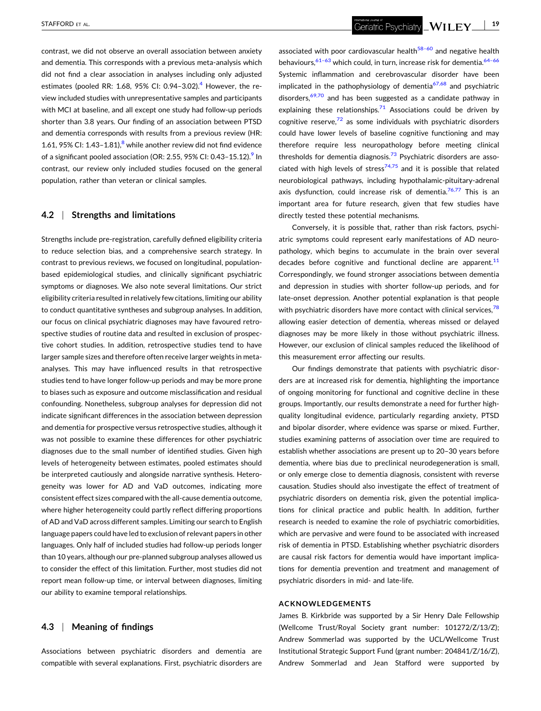contrast, we did not observe an overall association between anxiety and dementia. This corresponds with a previous meta‐analysis which did not find a clear association in analyses including only adjusted estimates (pooled RR: 1.68, 95% CI: 0.9[4](#page-19-0)-3.02).<sup>4</sup> However, the review included studies with unrepresentative samples and participants with MCI at baseline, and all except one study had follow‐up periods shorter than 3.8 years. Our finding of an association between PTSD and dementia corresponds with results from a previous review (HR: 1.61, 95% CI:  $1.43-1.81$  $1.43-1.81$  $1.43-1.81$ <sup>8</sup> while another review did not find evidence of a significant pooled association (OR: 2.55, 95% CI: 0.43-15.12).<sup>9</sup> In contrast, our review only included studies focused on the general population, rather than veteran or clinical samples.

#### **4.2** <sup>|</sup> **Strengths and limitations**

Strengths include pre‐registration, carefully defined eligibility criteria to reduce selection bias, and a comprehensive search strategy. In contrast to previous reviews, we focused on longitudinal, population‐ based epidemiological studies, and clinically significant psychiatric symptoms or diagnoses. We also note several limitations. Our strict eligibility criteria resulted in relatively few citations, limiting our ability to conduct quantitative syntheses and subgroup analyses. In addition, our focus on clinical psychiatric diagnoses may have favoured retrospective studies of routine data and resulted in exclusion of prospective cohort studies. In addition, retrospective studies tend to have larger sample sizes and therefore often receive larger weights in meta‐ analyses. This may have influenced results in that retrospective studies tend to have longer follow‐up periods and may be more prone to biases such as exposure and outcome misclassification and residual confounding. Nonetheless, subgroup analyses for depression did not indicate significant differences in the association between depression and dementia for prospective versus retrospective studies, although it was not possible to examine these differences for other psychiatric diagnoses due to the small number of identified studies. Given high levels of heterogeneity between estimates, pooled estimates should be interpreted cautiously and alongside narrative synthesis. Heterogeneity was lower for AD and VaD outcomes, indicating more consistent effect sizes compared with the all‐cause dementia outcome, where higher heterogeneity could partly reflect differing proportions of AD and VaD across different samples. Limiting our search to English language papers could have led to exclusion of relevant papers in other languages. Only half of included studies had follow‐up periods longer than 10 years, although our pre‐planned subgroup analyses allowed us to consider the effect of this limitation. Further, most studies did not report mean follow‐up time, or interval between diagnoses, limiting our ability to examine temporal relationships.

Associations between psychiatric disorders and dementia are compatible with several explanations. First, psychiatric disorders are

associated with poor cardiovascular health $58-60$  and negative health behaviours,  $61-63$  which could, in turn, increase risk for dementia.  $64-66$ Systemic inflammation and cerebrovascular disorder have been implicated in the pathophysiology of dementia $67,68$  and psychiatric disorders,  $69,70$  and has been suggested as a candidate pathway in explaining these relationships.<sup>[71](#page-21-0)</sup> Associations could be driven by cognitive reserve, $72$  as some individuals with psychiatric disorders could have lower levels of baseline cognitive functioning and may therefore require less neuropathology before meeting clinical thresholds for dementia diagnosis.<sup>[73](#page-21-0)</sup> Psychiatric disorders are asso-ciated with high levels of stress<sup>[74,75](#page-21-0)</sup> and it is possible that related neurobiological pathways, including hypothalamic‐pituitary‐adrenal axis dysfunction, could increase risk of dementia. $76,77$  This is an important area for future research, given that few studies have directly tested these potential mechanisms.

Conversely, it is possible that, rather than risk factors, psychiatric symptoms could represent early manifestations of AD neuropathology, which begins to accumulate in the brain over several decades before cognitive and functional decline are apparent. $11$ Correspondingly, we found stronger associations between dementia and depression in studies with shorter follow‐up periods, and for late-onset depression. Another potential explanation is that people with psychiatric disorders have more contact with clinical services,  $78$ allowing easier detection of dementia, whereas missed or delayed diagnoses may be more likely in those without psychiatric illness. However, our exclusion of clinical samples reduced the likelihood of this measurement error affecting our results.

Our findings demonstrate that patients with psychiatric disorders are at increased risk for dementia, highlighting the importance of ongoing monitoring for functional and cognitive decline in these groups. Importantly, our results demonstrate a need for further high‐ quality longitudinal evidence, particularly regarding anxiety, PTSD and bipolar disorder, where evidence was sparse or mixed. Further, studies examining patterns of association over time are required to establish whether associations are present up to 20–30 years before dementia, where bias due to preclinical neurodegeneration is small, or only emerge close to dementia diagnosis, consistent with reverse causation. Studies should also investigate the effect of treatment of psychiatric disorders on dementia risk, given the potential implications for clinical practice and public health. In addition, further research is needed to examine the role of psychiatric comorbidities, which are pervasive and were found to be associated with increased risk of dementia in PTSD. Establishing whether psychiatric disorders are causal risk factors for dementia would have important implications for dementia prevention and treatment and management of psychiatric disorders in mid‐ and late‐life.

#### **ACKNOWLEDGEMENTS**

James B. Kirkbride was supported by a Sir Henry Dale Fellowship (Wellcome Trust/Royal Society grant number: 101272/Z/13/Z); Andrew Sommerlad was supported by the UCL/Wellcome Trust Institutional Strategic Support Fund (grant number: 204841/Z/16/Z), Andrew Sommerlad and Jean Stafford were supported by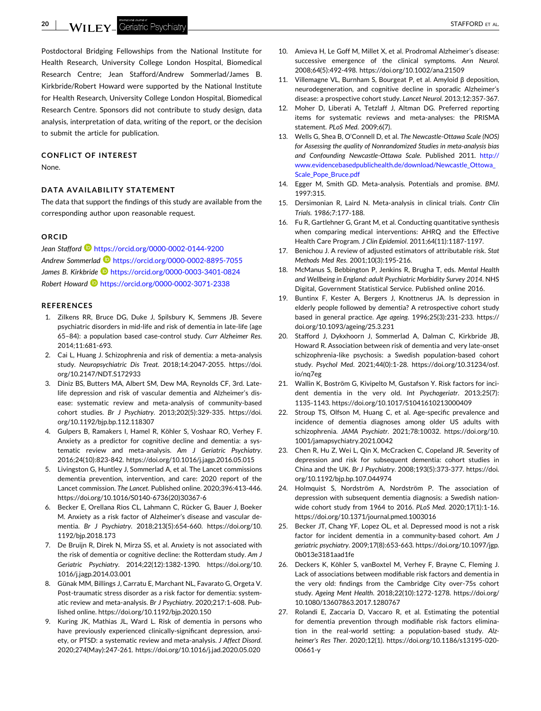<span id="page-19-0"></span>**20** - STAFFORD ET AL.

Postdoctoral Bridging Fellowships from the National Institute for Health Research, University College London Hospital, Biomedical Research Centre; Jean Stafford/Andrew Sommerlad/James B. Kirkbride/Robert Howard were supported by the National Institute for Health Research, University College London Hospital, Biomedical Research Centre. Sponsors did not contribute to study design, data analysis, interpretation of data, writing of the report, or the decision to submit the article for publication.

#### **CONFLICT OF INTEREST**

None.

#### **DATA AVAILABILITY STATEMENT**

The data that support the findings of this study are available from the corresponding author upon reasonable request.

#### **ORCID**

*Jean Stafford* <https://orcid.org/0000-0002-0144-9200> *Andrew Sommerlad* <https://orcid.org/0000-0002-8895-7055> *James B. Kirkbride* <https://orcid.org/0000-0003-3401-0824> *Robert Howard* <https://orcid.org/0000-0002-3071-2338>

#### **REFERENCES**

- 1. Zilkens RR, Bruce DG, Duke J, Spilsbury K, Semmens JB. Severe psychiatric disorders in mid‐life and risk of dementia in late‐life (age 65–84): a population based case‐control study. *Curr Alzheimer Res*. 2014;11:681‐693.
- 2. Cai L, Huang J. Schizophrenia and risk of dementia: a meta-analysis study. *Neuropsychiatric Dis Treat*. 2018;14:2047‐2055. [https://doi.](https://doi.org/10.2147/NDT.S172933) [org/10.2147/NDT.S172933](https://doi.org/10.2147/NDT.S172933)
- 3. Diniz BS, Butters MA, Albert SM, Dew MA, Reynolds CF, 3rd. Late‐ life depression and risk of vascular dementia and Alzheimer's disease: systematic review and meta‐analysis of community‐based cohort studies. *Br J Psychiatry*. 2013;202(5):329‐335. [https://doi.](https://doi.org/10.1192/bjp.bp.112.118307) [org/10.1192/bjp.bp.112.118307](https://doi.org/10.1192/bjp.bp.112.118307)
- 4. Gulpers B, Ramakers I, Hamel R, Köhler S, Voshaar RO, Verhey F. Anxiety as a predictor for cognitive decline and dementia: a systematic review and meta‐analysis. *Am J Geriatric Psychiatry*. 2016;24(10):823‐842. <https://doi.org/10.1016/j.jagp.2016.05.015>
- 5. Livingston G, Huntley J, Sommerlad A, et al. The Lancet commissions dementia prevention, intervention, and care: 2020 report of the Lancet commission. *The Lancet*. Published online. 2020;396:413‐446. [https://doi.org/10.1016/S0140](https://doi.org/10.1016/S0140-6736(20)30367-6)‐6736(20)30367‐6
- 6. Becker E, Orellana Rios CL, Lahmann C, Rücker G, Bauer J, Boeker M. Anxiety as a risk factor of Alzheimer's disease and vascular dementia. *Br J Psychiatry*. 2018;213(5):654‐660. [https://doi.org/10.](https://doi.org/10.1192/bjp.2018.173) [1192/bjp.2018.173](https://doi.org/10.1192/bjp.2018.173)
- 7. De Bruijn R, Direk N, Mirza SS, et al. Anxiety is not associated with the risk of dementia or cognitive decline: the Rotterdam study. *Am J Geriatric Psychiatry*. 2014;22(12):1382‐1390. [https://doi.org/10.](https://doi.org/10.1016/j.jagp.2014.03.001) [1016/j.jagp.2014.03.001](https://doi.org/10.1016/j.jagp.2014.03.001)
- 8. Günak MM, Billings J, Carratu E, Marchant NL, Favarato G, Orgeta V. Post-traumatic stress disorder as a risk factor for dementia: systematic review and meta‐analysis. *Br J Psychiatry*. 2020;217:1‐608. Published online. <https://doi.org/10.1192/bjp.2020.150>
- 9. Kuring JK, Mathias JL, Ward L. Risk of dementia in persons who have previously experienced clinically-significant depression, anxiety, or PTSD: a systematic review and meta‐analysis. *J Affect Disord*. 2020;274(May):247‐261. <https://doi.org/10.1016/j.jad.2020.05.020>
- 10. Amieva H, Le Goff M, Millet X, et al. Prodromal Alzheimer's disease: successive emergence of the clinical symptoms. *Ann Neurol*. 2008;64(5):492‐498. <https://doi.org/10.1002/ana.21509>
- 11. Villemagne VL, Burnham S, Bourgeat P, et al. Amyloid β deposition, neurodegeneration, and cognitive decline in sporadic Alzheimer's disease: a prospective cohort study. *Lancet Neurol*. 2013;12:357‐367.
- 12. Moher D, Liberati A, Tetzlaff J, Altman DG. Preferred reporting items for systematic reviews and meta‐analyses: the PRISMA statement. *PLoS Med*. 2009;6(7).
- 13. Wells G, Shea B, O'Connell D, et al. *The Newcastle‐Ottawa Scale (NOS) for Assessing the quality of Nonrandomized Studies in meta‐analysis bias and Confounding Newcastle‐Ottawa Scale*. Published 2011. [http://](http://www.evidencebasedpublichealth.de/download/Newcastle_Ottowa_Scale_Pope_Bruce.pdf) [www.evidencebasedpublichealth.de/download/Newcastle\\_Ottowa\\_](http://www.evidencebasedpublichealth.de/download/Newcastle_Ottowa_Scale_Pope_Bruce.pdf) [Scale\\_Pope\\_Bruce.pdf](http://www.evidencebasedpublichealth.de/download/Newcastle_Ottowa_Scale_Pope_Bruce.pdf)
- 14. Egger M, Smith GD. Meta‐analysis. Potentials and promise. *BMJ*. 1997:315.
- 15. Dersimonian R, Laird N. Meta‐analysis in clinical trials. *Contr Clin Trials*. 1986;7:177‐188.
- 16. Fu R, Gartlehner G, Grant M, et al. Conducting quantitative synthesis when comparing medical interventions: AHRQ and the Effective Health Care Program. *J Clin Epidemiol*. 2011;64(11):1187‐1197.
- 17. Benichou J. A review of adjusted estimators of attributable risk. *Stat Methods Med Res*. 2001;10(3):195‐216.
- 18. McManus S, Bebbington P, Jenkins R, Brugha T, eds. *Mental Health and Wellbeing in England: adult Psychiatric Morbidity Survey 2014*. NHS Digital, Government Statistical Service. Published online 2016.
- 19. Buntinx F, Kester A, Bergers J, Knottnerus JA. Is depression in elderly people followed by dementia? A retrospective cohort study based in general practice. *Age ageing*. 1996;25(3):231‐233. [https://](https://doi.org/10.1093/ageing/25.3.231) [doi.org/10.1093/ageing/25.3.231](https://doi.org/10.1093/ageing/25.3.231)
- 20. Stafford J, Dykxhoorn J, Sommerlad A, Dalman C, Kirkbride JB, Howard R. Association between risk of dementia and very late‐onset schizophrenia‐like psychosis: a Swedish population‐based cohort study. *Psychol Med*. 2021;44(0):1‐28. [https://doi.org/10.31234/osf.](https://doi.org/10.31234/osf.io/nq7eg) [io/nq7eg](https://doi.org/10.31234/osf.io/nq7eg)
- 21. Wallin K, Boström G, Kivipelto M, Gustafson Y. Risk factors for incident dementia in the very old. *Int Psychogeriatr*. 2013;25(7): 1135‐1143. <https://doi.org/10.1017/S1041610213000409>
- 22. Stroup TS, Olfson M, Huang C, et al. Age-specific prevalence and incidence of dementia diagnoses among older US adults with schizophrenia. *JAMA Psychiatr*. 2021;78:10032. [https://doi.org/10.](https://doi.org/10.1001/jamapsychiatry.2021.0042) [1001/jamapsychiatry.2021.0042](https://doi.org/10.1001/jamapsychiatry.2021.0042)
- 23. Chen R, Hu Z, Wei L, Qin X, McCracken C, Copeland JR. Severity of depression and risk for subsequent dementia: cohort studies in China and the UK. *Br J Psychiatry*. 2008;193(5):373‐377. [https://doi.](https://doi.org/10.1192/bjp.bp.107.044974) [org/10.1192/bjp.bp.107.044974](https://doi.org/10.1192/bjp.bp.107.044974)
- 24. Holmquist S, Nordström A, Nordström P. The association of depression with subsequent dementia diagnosis: a Swedish nationwide cohort study from 1964 to 2016. *PLoS Med*. 2020;17(1):1‐16. <https://doi.org/10.1371/journal.pmed.1003016>
- 25. Becker JT, Chang YF, Lopez OL, et al. Depressed mood is not a risk factor for incident dementia in a community‐based cohort. *Am J geriatric psychiatry*. 2009;17(8):653‐663. [https://doi.org/10.1097/jgp.](https://doi.org/10.1097/jgp.0b013e3181aad1fe) [0b013e3181aad1fe](https://doi.org/10.1097/jgp.0b013e3181aad1fe)
- 26. Deckers K, Köhler S, vanBoxtel M, Verhey F, Brayne C, Fleming J. Lack of associations between modifiable risk factors and dementia in the very old: findings from the Cambridge City over‐75s cohort study. *Ageing Ment Health*. 2018;22(10):1272‐1278. [https://doi.org/](https://doi.org/10.1080/13607863.2017.1280767) [10.1080/13607863.2017.1280767](https://doi.org/10.1080/13607863.2017.1280767)
- 27. Rolandi E, Zaccaria D, Vaccaro R, et al. Estimating the potential for dementia prevention through modifiable risk factors elimination in the real‐world setting: a population‐based study. *Alzheimer's Res Ther*. 2020;12(1). [https://doi.org/10.1186/s13195](https://doi.org/10.1186/s13195-020-00661-y)‐020‐ [00661](https://doi.org/10.1186/s13195-020-00661-y)‐y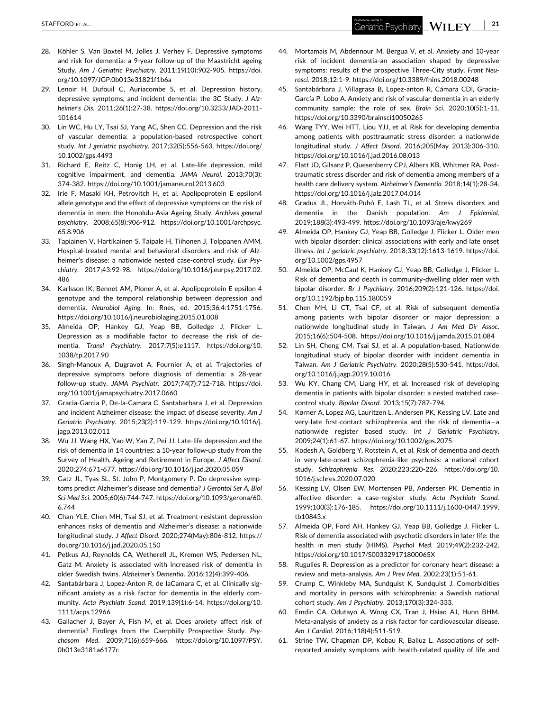- <span id="page-20-0"></span>28. Köhler S, Van Boxtel M, Jolles J, Verhey F. Depressive symptoms and risk for dementia: a 9‐year follow‐up of the Maastricht ageing Study. *Am J Geriatric Psychiatry*. 2011;19(10):902‐905. [https://doi.](https://doi.org/10.1097/JGP.0b013e31821f1b6a) [org/10.1097/JGP.0b013e31821f1b6a](https://doi.org/10.1097/JGP.0b013e31821f1b6a)
- 29. Lenoir H, Dufouil C, Auriacombe S, et al. Depression history, depressive symptoms, and incident dementia: the 3C Study. *J Alzheimer's Dis*. 2011;26(1):27‐38. [https://doi.org/10.3233/JAD](https://doi.org/10.3233/JAD-2011-101614)‐2011‐ [101614](https://doi.org/10.3233/JAD-2011-101614)
- 30. Lin WC, Hu LY, Tsai SJ, Yang AC, Shen CC. Depression and the risk of vascular dementia: a population‐based retrospective cohort study. *Int J geriatric psychiatry*. 2017;32(5):556‐563. [https://doi.org/](https://doi.org/10.1002/gps.4493) [10.1002/gps.4493](https://doi.org/10.1002/gps.4493)
- 31. Richard E, Reitz C, Honig LH, et al. Late‐life depression, mild cognitive impairment, and dementia. *JAMA Neurol*. 2013;70(3): 374‐382. <https://doi.org/10.1001/jamaneurol.2013.603>
- 32. Irie F, Masaki KH, Petrovitch H, et al. Apolipoprotein E epsilon4 allele genotype and the effect of depressive symptoms on the risk of dementia in men: the Honolulu‐Asia Ageing Study. *Archives general psychiatry*. 2008;65(8):906‐912. [https://doi.org/10.1001/archpsyc.](https://doi.org/10.1001/archpsyc.65.8.906) [65.8.906](https://doi.org/10.1001/archpsyc.65.8.906)
- 33. Tapiainen V, Hartikainen S, Taipale H, Tiihonen J, Tolppanen AMM. Hospital‐treated mental and behavioral disorders and risk of Alzheimer's disease: a nationwide nested case‐control study. *Eur Psychiatry*. 2017;43:92‐98. [https://doi.org/10.1016/j.eurpsy.2017.02.](https://doi.org/10.1016/j.eurpsy.2017.02.486) [486](https://doi.org/10.1016/j.eurpsy.2017.02.486)
- 34. Karlsson IK, Bennet AM, Ploner A, et al. Apolipoprotein E epsilon 4 genotype and the temporal relationship between depression and dementia. *Neurobiol Aging*. In: Rnes, ed. 2015;36;4:1751‐1756. <https://doi.org/10.1016/j.neurobiolaging.2015.01.008>
- 35. Almeida OP, Hankey GJ, Yeap BB, Golledge J, Flicker L. Depression as a modifiable factor to decrease the risk of dementia. *Transl Psychiatry*. 2017;7(5):e1117. [https://doi.org/10.](https://doi.org/10.1038/tp.2017.90) [1038/tp.2017.90](https://doi.org/10.1038/tp.2017.90)
- 36. Singh‐Manoux A, Dugravot A, Fournier A, et al. Trajectories of depressive symptoms before diagnosis of dementia: a 28‐year follow‐up study. *JAMA Psychiatr*. 2017;74(7):712‐718. [https://doi.](https://doi.org/10.1001/jamapsychiatry.2017.0660) [org/10.1001/jamapsychiatry.2017.0660](https://doi.org/10.1001/jamapsychiatry.2017.0660)
- 37. Gracia‐Garcia P, De‐la‐Camara C, Santabarbara J, et al. Depression and incident Alzheimer disease: the impact of disease severity. *Am J Geriatric Psychiatry*. 2015;23(2):119‐129. [https://doi.org/10.1016/j.](https://doi.org/10.1016/j.jagp.2013.02.011) [jagp.2013.02.011](https://doi.org/10.1016/j.jagp.2013.02.011)
- 38. Wu JJ, Wang HX, Yao W, Yan Z, Pei JJ. Late‐life depression and the risk of dementia in 14 countries: a 10‐year follow‐up study from the Survey of Health, Ageing and Retirement in Europe. *J Affect Disord*. 2020;274:671‐677. <https://doi.org/10.1016/j.jad.2020.05.059>
- 39. Gatz JL, Tyas SL, St. John P, Montgomery P. Do depressive symptoms predict Alzheimer's disease and dementia? *J Gerontol Ser A, Biol Sci Med Sci*. 2005;60(6):744‐747. [https://doi.org/10.1093/gerona/60.](https://doi.org/10.1093/gerona/60.6.744) [6.744](https://doi.org/10.1093/gerona/60.6.744)
- 40. Chan YLE, Chen MH, Tsai SJ, et al. Treatment‐resistant depression enhances risks of dementia and Alzheimer's disease: a nationwide longitudinal study. *J Affect Disord*. 2020;274(May):806‐812. [https://](https://doi.org/10.1016/j.jad.2020.05.150) [doi.org/10.1016/j.jad.2020.05.150](https://doi.org/10.1016/j.jad.2020.05.150)
- 41. Petkus AJ, Reynolds CA, Wetherell JL, Kremen WS, Pedersen NL, Gatz M. Anxiety is associated with increased risk of dementia in older Swedish twins. *Alzheimer's Dementia*. 2016;12(4):399‐406.
- 42. Santabárbara J, Lopez‐Anton R, de laCamara C, et al. Clinically significant anxiety as a risk factor for dementia in the elderly community. *Acta Psychiatr Scand*. 2019;139(1):6‐14. [https://doi.org/10.](https://doi.org/10.1111/acps.12966) [1111/acps.12966](https://doi.org/10.1111/acps.12966)
- 43. Gallacher J, Bayer A, Fish M, et al. Does anxiety affect risk of dementia? Findings from the Caerphilly Prospective Study. *Psychosom Med*. 2009;71(6):659‐666. [https://doi.org/10.1097/PSY.](https://doi.org/10.1097/PSY.0b013e3181a6177c) [0b013e3181a6177c](https://doi.org/10.1097/PSY.0b013e3181a6177c)
- 44. Mortamais M, Abdennour M, Bergua V, et al. Anxiety and 10‐year risk of incident dementia‐an association shaped by depressive symptoms: results of the prospective Three‐City study. *Front Neurosci*. 2018;12:1‐9. <https://doi.org/10.3389/fnins.2018.00248>
- 45. Santabárbara J, Villagrasa B, Lopez-anton R, Cámara CDI, Gracia-García P, Lobo A. Anxiety and risk of vascular dementia in an elderly community sample: the role of sex. *Brain Sci*. 2020;10(5):1‐11. <https://doi.org/10.3390/brainsci10050265>
- 46. Wang TYY, Wei HTT, Liou YJJ, et al. Risk for developing dementia among patients with posttraumatic stress disorder: a nationwide longitudinal study. *J Affect Disord*. 2016;205(May 2013):306‐310. <https://doi.org/10.1016/j.jad.2016.08.013>
- 47. Flatt JD, Gilsanz P, Quesenberry CPJ, Albers KB, Whitmer RA. Posttraumatic stress disorder and risk of dementia among members of a health care delivery system. *Alzheimer's Dementia*. 2018;14(1):28‐34. <https://doi.org/10.1016/j.jalz.2017.04.014>
- 48. Gradus JL, Horváth‐Puhó E, Lash TL, et al. Stress disorders and dementia in the Danish population. *Am J Epidemiol*. 2019;188(3):493‐499. <https://doi.org/10.1093/aje/kwy269>
- 49. Almeida OP, Hankey GJ, Yeap BB, Golledge J, Flicker L. Older men with bipolar disorder: clinical associations with early and late onset illness. *Int J geriatric psychiatry*. 2018;33(12):1613‐1619. [https://doi.](https://doi.org/10.1002/gps.4957) [org/10.1002/gps.4957](https://doi.org/10.1002/gps.4957)
- 50. Almeida OP, McCaul K, Hankey GJ, Yeap BB, Golledge J, Flicker L. Risk of dementia and death in community‐dwelling older men with bipolar disorder. *Br J Psychiatry*. 2016;209(2):121‐126. [https://doi.](https://doi.org/10.1192/bjp.bp.115.180059) [org/10.1192/bjp.bp.115.180059](https://doi.org/10.1192/bjp.bp.115.180059)
- 51. Chen MH, Li CT, Tsai CF, et al. Risk of subsequent dementia among patients with bipolar disorder or major depression: a nationwide longitudinal study in Taiwan. *J Am Med Dir Assoc*. 2015;16(6):504‐508. <https://doi.org/10.1016/j.jamda.2015.01.084>
- 52. Lin SH, Cheng CM, Tsai SJ, et al. A population‐based, Nationwide longitudinal study of bipolar disorder with incident dementia in Taiwan. *Am J Geriatric Psychiatry*. 2020;28(5):530‐541. [https://doi.](https://doi.org/10.1016/j.jagp.2019.10.016) [org/10.1016/j.jagp.2019.10.016](https://doi.org/10.1016/j.jagp.2019.10.016)
- 53. Wu KY, Chang CM, Liang HY, et al. Increased risk of developing dementia in patients with bipolar disorder: a nested matched case‐ control study. *Bipolar Disord*. 2013;15(7):787‐794.
- 54. Kørner A, Lopez AG, Lauritzen L, Andersen PK, Kessing LV. Late and very‐late first‐contact schizophrenia and the risk of dementia—a nationwide register based study. *Int J Geriatric Psychiatry*. 2009;24(1):61‐67. <https://doi.org/10.1002/gps.2075>
- 55. Kodesh A, Goldberg Y, Rotstein A, et al. Risk of dementia and death in very‐late‐onset schizophrenia‐like psychosis: a national cohort study. *Schizophrenia Res*. 2020;223:220‐226. [https://doi.org/10.](https://doi.org/10.1016/j.schres.2020.07.020) [1016/j.schres.2020.07.020](https://doi.org/10.1016/j.schres.2020.07.020)
- 56. Kessing LV, Olsen EW, Mortensen PB, Andersen PK. Dementia in affective disorder: a case‐register study. *Acta Psychiatr Scand*. 1999;100(3):176‐185. [https://doi.org/10.1111/j.1600](https://doi.org/10.1111/j.1600-0447.1999.tb10843.x)‐0447.1999. [tb10843.x](https://doi.org/10.1111/j.1600-0447.1999.tb10843.x)
- 57. Almeida OP, Ford AH, Hankey GJ, Yeap BB, Golledge J, Flicker L. Risk of dementia associated with psychotic disorders in later life: the health in men study (HIMS). *Psychol Med*. 2019;49(2):232‐242. <https://doi.org/10.1017/S003329171800065X>
- 58. Rugulies R. Depression as a predictor for coronary heart disease: a review and meta‐analysis. *Am J Prev Med*. 2002;23(1):51‐61.
- 59. Crump C, Winkleby MA, Sundquist K, Sundquist J. Comorbidities and mortality in persons with schizophrenia: a Swedish national cohort study. *Am J Psychiatry*. 2013;170(3):324‐333.
- 60. Emdin CA, Odutayo A, Wong CX, Tran J, Hsiao AJ, Hunn BHM. Meta‐analysis of anxiety as a risk factor for cardiovascular disease. *Am J Cardiol*. 2016;118(4):511‐519.
- 61. Strine TW, Chapman DP, Kobau R, Balluz L. Associations of self‐ reported anxiety symptoms with health‐related quality of life and